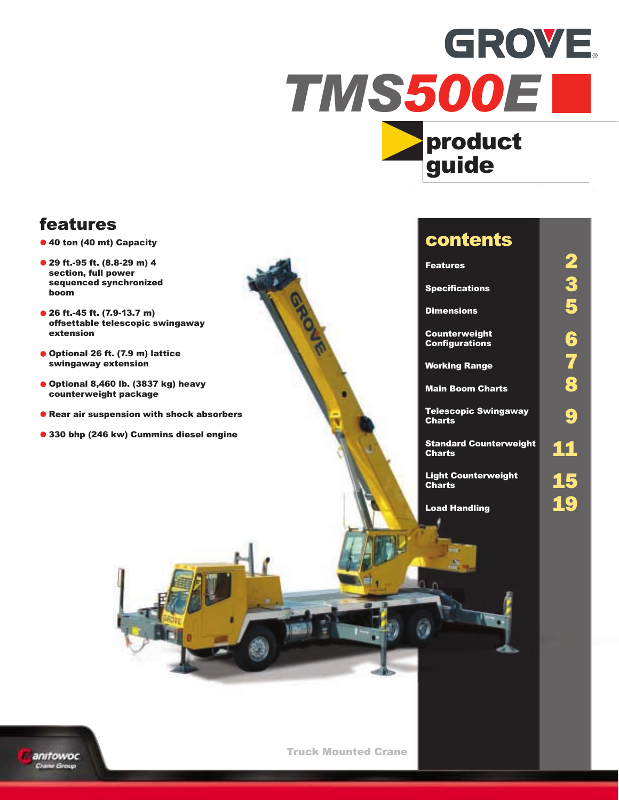# **GROVE.** TMS500E



# features

- **•** 40 ton (40 mt) Capacity
- **•** 29 ft.-95 ft. (8.8-29 m) 4 section, full power sequenced synchronized boom
- **•** 26 ft.-45 ft. (7.9-13.7 m) offsettable telescopic swingaway extension
- **•** Optional 26 ft. (7.9 m) lattice swingaway extension
- **•** Optional 8,460 lb. (3837 kg) heavy counterweight package
- **•** Rear air suspension with shock absorbers
- **•** 330 bhp (246 kw) Cummins diesel engine

# contents

**Specifications** 

**Dimensions** 

Counterweight

**Working Range** 

**Main Boom Charts** 

Telescopic Swingaway<br>Charts

Standard Counterweight<br>Charts

Light Counterweight<br>Charts **15** 

Load Handling **19** 

Features<br>
Specifications<br>
Dimensions<br>
5 Counterweight<br>
Configurations<br>
Working Range<br>
Main Boom Charts



Truck Mounted Crane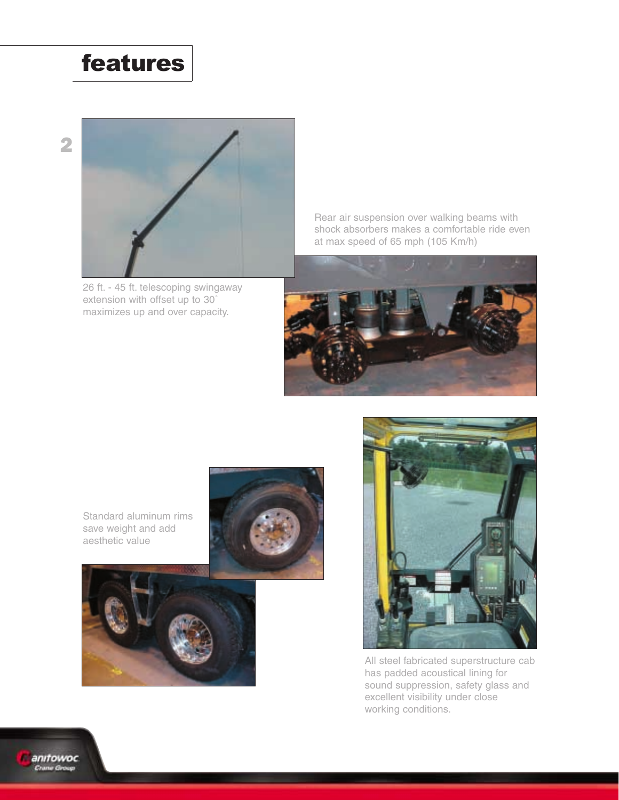# features



26 ft. - 45 ft. telescoping swingaway extension with offset up to 30˚ maximizes up and over capacity.

Rear air suspension over walking beams with shock absorbers makes a comfortable ride even at max speed of 65 mph (105 Km/h)



Standard aluminum rims save weight and add aesthetic value





All steel fabricated superstructure cab has padded acoustical lining for sound suppression, safety glass and excellent visibility under close working conditions.

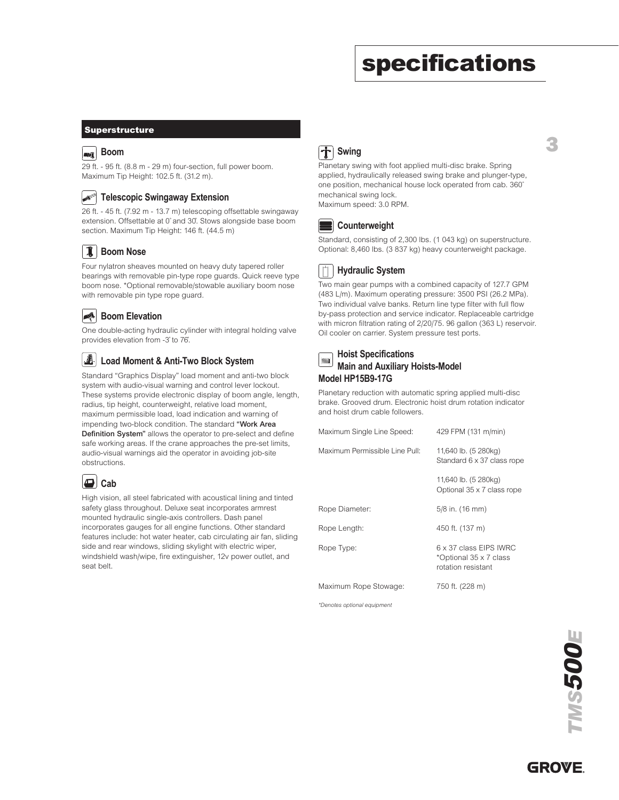# specifications

3

#### **Superstructure**

### **Boom**

29 ft. - 95 ft. (8.8 m - 29 m) four-section, full power boom. Maximum Tip Height: 102.5 ft. (31.2 m).

#### **AITES Telescopic Swingaway Extension**

26 ft. - 45 ft. (7.92 m - 13.7 m) telescoping offsettable swingaway extension. Offsettable at 0˚ and 30˚. Stows alongside base boom section. Maximum Tip Height: 146 ft. (44.5 m)

### **Boom Nose**

Four nylatron sheaves mounted on heavy duty tapered roller bearings with removable pin-type rope guards. Quick reeve type boom nose. \*Optional removable/stowable auxiliary boom nose with removable pin type rope guard.

### **Boom Elevation**

One double-acting hydraulic cylinder with integral holding valve provides elevation from -3˚ to 76˚.

#### $\left| \cdot \right|$ **Load Moment & Anti-Two Block System**

Standard "Graphics Display" load moment and anti-two block system with audio-visual warning and control lever lockout. These systems provide electronic display of boom angle, length, radius, tip height, counterweight, relative load moment, maximum permissible load, load indication and warning of impending two-block condition. The standard "Work Area Definition System" allows the operator to pre-select and define safe working areas. If the crane approaches the pre-set limits, audio-visual warnings aid the operator in avoiding job-site obstructions.

|--|--|

High vision, all steel fabricated with acoustical lining and tinted safety glass throughout. Deluxe seat incorporates armrest mounted hydraulic single-axis controllers. Dash panel incorporates gauges for all engine functions. Other standard features include: hot water heater, cab circulating air fan, sliding side and rear windows, sliding skylight with electric wiper, windshield wash/wipe, fire extinguisher, 12v power outlet, and seat belt.

## **Swing**

Planetary swing with foot applied multi-disc brake. Spring applied, hydraulically released swing brake and plunger-type, one position, mechanical house lock operated from cab. 360˚ mechanical swing lock.

Maximum speed: 3.0 RPM.



Standard, consisting of 2,300 lbs. (1 043 kg) on superstructure. Optional: 8,460 lbs. (3 837 kg) heavy counterweight package.

#### $|\mathring{\top}|$ **Hydraulic System**

Two main gear pumps with a combined capacity of 127.7 GPM (483 L/m). Maximum operating pressure: 3500 PSI (26.2 MPa). Two individual valve banks. Return line type filter with full flow by-pass protection and service indicator. Replaceable cartridge with micron filtration rating of 2/20/75. 96 gallon (363 L) reservoir. Oil cooler on carrier. System pressure test ports.

| <b>ENSIMIBY PROPERT</b> Holist Specifications<br>Main and Auxiliary Hoists-Model |
|----------------------------------------------------------------------------------|
| Model HP15B9-17G                                                                 |

Planetary reduction with automatic spring applied multi-disc brake. Grooved drum. Electronic hoist drum rotation indicator and hoist drum cable followers.

| Maximum Single Line Speed:     | 429 FPM (131 m/min)                                                    |
|--------------------------------|------------------------------------------------------------------------|
| Maximum Permissible Line Pull: | 11,640 lb. (5 280kg)<br>Standard 6 x 37 class rope                     |
|                                | 11,640 lb. (5 280kg)<br>Optional 35 x 7 class rope                     |
| Rope Diameter:                 | 5/8 in. (16 mm)                                                        |
| Rope Length:                   | 450 ft. (137 m)                                                        |
| Rope Type:                     | 6 x 37 class EIPS IWRC<br>*Optional 35 x 7 class<br>rotation resistant |
| Maximum Rope Stowage:          | 750 ft. (228 m)                                                        |

\*Denotes optional equipment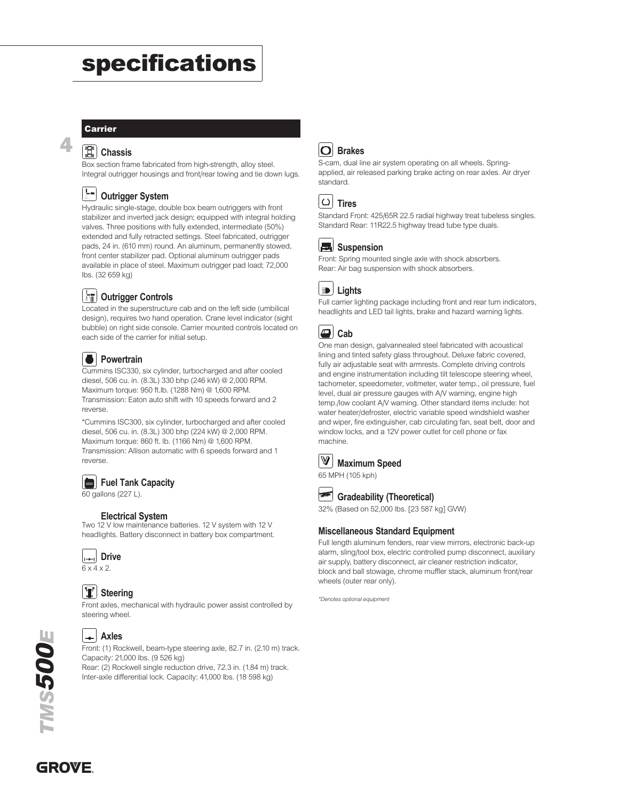# specifications

#### **Carrier**

4

### **Chassis**

Box section frame fabricated from high-strength, alloy steel. Integral outrigger housings and front/rear towing and tie down lugs.

### **Outrigger System**

Hydraulic single-stage, double box beam outriggers with front stabilizer and inverted jack design; equipped with integral holding valves. Three positions with fully extended, intermediate (50%) extended and fully retracted settings. Steel fabricated, outrigger pads, 24 in. (610 mm) round. An aluminum, permanently stowed, front center stabilizer pad. Optional aluminum outrigger pads available in place of steel. Maximum outrigger pad load; 72,000 lbs. (32 659 kg)

### **Outrigger Controls**

Located in the superstructure cab and on the left side (umbilical design), requires two hand operation. Crane level indicator (sight bubble) on right side console. Carrier mounted controls located on each side of the carrier for initial setup.

### **Powertrain**

Cummins ISC330, six cylinder, turbocharged and after cooled diesel, 506 cu. in. (8.3L) 330 bhp (246 kW) @ 2,000 RPM. Maximum torque: 950 ft.lb. (1288 Nm) @ 1,600 RPM. Transmission: Eaton auto shift with 10 speeds forward and 2 reverse.

\*Cummins ISC300, six cylinder, turbocharged and after cooled diesel, 506 cu. in. (8.3L) 300 bhp (224 kW) @ 2,000 RPM. Maximum torque: 860 ft. lb. (1166 Nm) @ 1,600 RPM. Transmission: Allison automatic with 6 speeds forward and 1 reverse.

### **Fuel Tank Capacity**

60 gallons (227 L).

#### **Electrical System**

Two 12 V low maintenance batteries. 12 V system with 12 V headlights. Battery disconnect in battery box compartment.



### **Steering**

Front axles, mechanical with hydraulic power assist controlled by steering wheel.



### **Axles**

Front: (1) Rockwell, beam-type steering axle, 82.7 in. (2.10 m) track. Capacity: 21,000 lbs. (9 526 kg) Rear: (2) Rockwell single reduction drive, 72.3 in. (1.84 m) track.

Inter-axle differential lock. Capacity: 41,000 lbs. (18 598 kg)

### **Brakes**

S-cam, dual line air system operating on all wheels. Springapplied, air released parking brake acting on rear axles. Air dryer standard.

Standard Front: 425/65R 22.5 radial highway treat tubeless singles. Standard Rear: 11R22.5 highway tread tube type duals.

### Suspension

Front: Spring mounted single axle with shock absorbers. Rear: Air bag suspension with shock absorbers.



Full carrier lighting package including front and rear turn indicators, headlights and LED tail lights, brake and hazard warning lights.

One man design, galvannealed steel fabricated with acoustical lining and tinted safety glass throughout. Deluxe fabric covered, fully air adjustable seat with armrests. Complete driving controls and engine instrumentation including tilt telescope steering wheel, tachometer, speedometer, voltmeter, water temp., oil pressure, fuel level, dual air pressure gauges with A/V warning, engine high temp./low coolant A/V warning. Other standard items include: hot water heater/defroster, electric variable speed windshield washer and wiper, fire extinguisher, cab circulating fan, seat belt, door and window locks, and a 12V power outlet for cell phone or fax machine.

#### $\mathbb{V}$ **Maximum Speed**

65 MPH (105 kph)



**Gradeability (Theoretical)** 32% (Based on 52,000 lbs. [23 587 kg] GVW)

#### **Miscellaneous Standard Equipment**

Full length aluminum fenders, rear view mirrors, electronic back-up alarm, sling/tool box, electric controlled pump disconnect, auxiliary air supply, battery disconnect, air cleaner restriction indicator, block and ball stowage, chrome muffler stack, aluminum front/rear wheels (outer rear only).

\*Denotes optional equipment

**GROVE**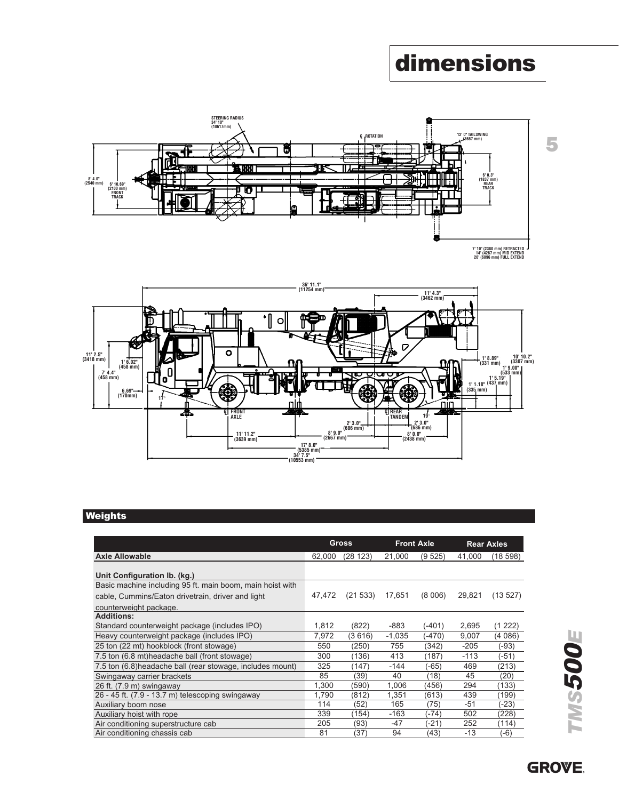# dimensions





### **Weights**

|                          |                         |                                                                     | $(3462 \, \text{mm})$ |                                                                              |                                                                                                                    |
|--------------------------|-------------------------|---------------------------------------------------------------------|-----------------------|------------------------------------------------------------------------------|--------------------------------------------------------------------------------------------------------------------|
|                          | 2'3.0"<br>$(686$ mm $)$ | V<br><b>C</b> REAR<br>TANDEM                                        | 19                    | $(335$ mm)                                                                   | 10'10<br>1' 8.89"<br>(3307 r<br>$(331$ mm)<br>1'9.00"<br>$(533 \, \text{mm})$<br>$1'5.19''$<br>$1'1.18''$ (437 mm) |
| 17' 8.0''<br>$(5385$ mm) |                         |                                                                     |                       |                                                                              |                                                                                                                    |
|                          |                         |                                                                     |                       |                                                                              | <b>Rear Axles</b>                                                                                                  |
|                          |                         |                                                                     |                       |                                                                              | (18598)                                                                                                            |
| 47,472                   | (21 533)                | 17,651                                                              | (8006)                | 29,821                                                                       | (13.527)                                                                                                           |
|                          |                         |                                                                     |                       |                                                                              |                                                                                                                    |
| 1,812                    | (822)                   | -883                                                                | $(-401)$              | 2,695                                                                        | (1222)                                                                                                             |
|                          |                         |                                                                     | $(-470)$              | 9,007                                                                        | (4086)                                                                                                             |
| 550                      | (250)                   |                                                                     |                       |                                                                              |                                                                                                                    |
|                          |                         | 755                                                                 | (342)                 | $-205$                                                                       | (-93)                                                                                                              |
| 300                      | (136)                   | 413                                                                 | (187)                 | $-113$                                                                       | $(-51)$                                                                                                            |
| 325                      | (147)                   | $-144$                                                              | $(-65)$               | 469                                                                          | (213)                                                                                                              |
| 85                       | (39)                    | 40                                                                  | (18)                  | 45                                                                           | (20)                                                                                                               |
| 1,300                    | (590)                   | 1,006                                                               | (456)                 | 294                                                                          | (133)                                                                                                              |
| 1,790                    | (812)                   | 1,351                                                               | (613)                 | 439                                                                          | (199)                                                                                                              |
| 114                      | (52)                    | 165                                                                 | (75)                  | $-51$                                                                        | $(-23)$                                                                                                            |
| 339<br>205               | (154)<br>(93)           | $-163$<br>$-47$                                                     | (-74)<br>$(-21)$      | 502<br>252                                                                   | (228)<br>(114)                                                                                                     |
|                          | 7,972                   | יי 9.0" 8<br>(2667 mm)<br><b>Gross</b><br>62,000 (28 123)<br>(3616) | 21,000<br>$-1,035$    | $\frac{2!}{686}$ mm)<br>8'0.0"<br>$(2438$ mm)<br><b>Front Axle</b><br>(9525) | nır<br>41.000                                                                                                      |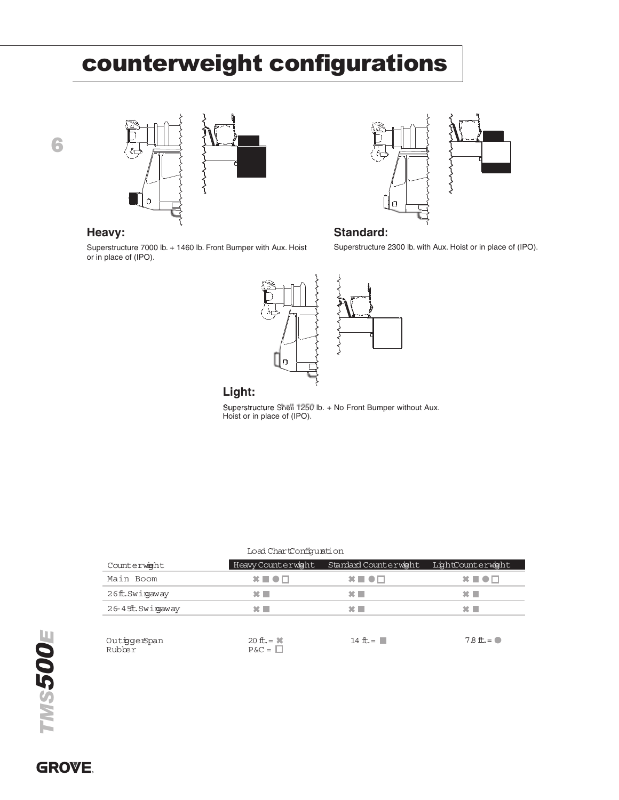# counterweight configurations







Superstructure 7000 lb. + 1460 lb. Front Bumper with Aux. Hoist or in place of (IPO).

### **Heavy: Standard: Standard:**

Superstructure 2300 lb. with Aux. Hoist or in place of (IPO).



### **Light**

#### Load ChartConfguration

| avy:                                                                              |                              | Standard:                                                    |                                                            |
|-----------------------------------------------------------------------------------|------------------------------|--------------------------------------------------------------|------------------------------------------------------------|
| erstructure 7000 lb. + 1460 lb. Front Bumper with Aux. Hoist<br>n place of (IPO). |                              |                                                              | Superstructure 2300 lb. with Aux. Hoist or in place of (IF |
|                                                                                   | α                            |                                                              |                                                            |
|                                                                                   | Light:                       |                                                              |                                                            |
|                                                                                   | Hoist or in place of (IPO).  | Superstructure Snell 1250 lb. + No Front Bumper without Aux. |                                                            |
|                                                                                   |                              |                                                              |                                                            |
|                                                                                   |                              |                                                              |                                                            |
|                                                                                   |                              |                                                              |                                                            |
|                                                                                   |                              |                                                              |                                                            |
|                                                                                   |                              |                                                              |                                                            |
|                                                                                   |                              |                                                              |                                                            |
|                                                                                   |                              |                                                              |                                                            |
|                                                                                   |                              |                                                              |                                                            |
|                                                                                   | Load ChartConfiguration      |                                                              |                                                            |
| Counterwight                                                                      | Heavy Counterwight           | Standard Counterwight                                        | LightCounterwight                                          |
| Main Boom                                                                         | $x \equiv \bullet \Box$      | $\bm{x} \equiv \bm{\bullet} \bm{\Box}$                       | $\mathbf{x} \blacksquare \bullet \square$                  |
| 26ft.Swingaway                                                                    | $\mathbf{x}$                 | $\mathbf{x}$                                                 | $\mathbf{x}$                                               |
| 26-4 ffL. Swingaway                                                               | $\mathbf{x}$                 | $\mathbf{x}$                                                 | $\mathbf{x}$                                               |
|                                                                                   |                              |                                                              |                                                            |
| OutiggerSpan<br>Rubber                                                            | 20 ft. = $*$<br>$P&C = \Box$ | 14 ft. $=$ $\blacksquare$                                    | $78L =$                                                    |

**GROVE.**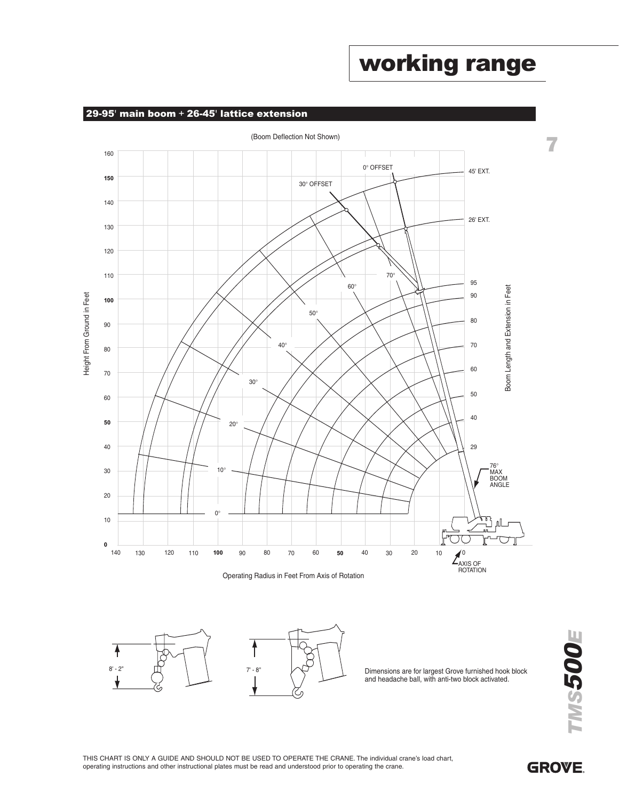### (Boom Deflection Not Shown)

29-95' main boom + 26-45' lattice extension



Operating Radius in Feet From Axis of Rotation



₳

and headache ball, with anti-two block activated.

**MS500E** TMSE

**GROVE** 

working range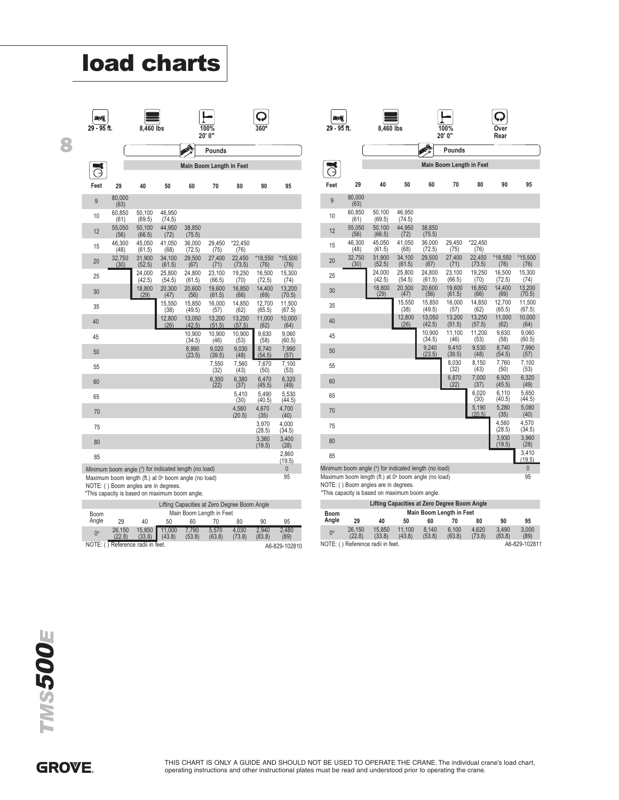| DМ<br>29 - 95 ft. |                                                                                                                                                                                                         |                  |                  |                                                                          |                  |                  |                  |                  |
|-------------------|---------------------------------------------------------------------------------------------------------------------------------------------------------------------------------------------------------|------------------|------------------|--------------------------------------------------------------------------|------------------|------------------|------------------|------------------|
|                   |                                                                                                                                                                                                         | 8,460 lbs        |                  |                                                                          | 100%<br>20' 0"   |                  |                  |                  |
|                   |                                                                                                                                                                                                         |                  |                  |                                                                          | <b>Pounds</b>    |                  |                  |                  |
|                   |                                                                                                                                                                                                         |                  |                  | <b>Main Boom Length in Feet</b>                                          |                  |                  |                  |                  |
| Feet              | 29                                                                                                                                                                                                      | 40               | 50               | 60                                                                       | 70               | 80               | 90               | 95               |
| 9                 | 80,000<br>(63)                                                                                                                                                                                          |                  |                  |                                                                          |                  |                  |                  |                  |
| 10                | 60,850<br>(61)                                                                                                                                                                                          | 50,100<br>(69.5) | 46.950<br>(74.5) |                                                                          |                  |                  |                  |                  |
| 12                | 55,050<br>(56)                                                                                                                                                                                          | 50.100<br>(66.5) | 44,950<br>(72)   | 38,850<br>(75.5)                                                         |                  |                  |                  |                  |
| 15                | 46.300<br>(48)                                                                                                                                                                                          | 45,050<br>(61.5) | 41,050<br>(68)   | 36,000<br>(72.5)                                                         | 29,450<br>(75)   | *22.450<br>(76)  |                  |                  |
| 20                | 32,750<br>(30)                                                                                                                                                                                          | 31,900<br>(52.5) | 34.100<br>(61.5) | 29,500<br>(67)                                                           | 27,400<br>(71)   | 22,450<br>(73.5) | *18,550<br>(76)  | *15,500<br>(76)  |
| 25                |                                                                                                                                                                                                         | 24,000<br>(42.5) | 25.800<br>(54.5) | 24,800<br>(61.5)                                                         | 23,100<br>(66.5) | 19,250<br>(70)   | 16,500<br>(72.5) | 15,300<br>(74)   |
| 30                |                                                                                                                                                                                                         | 18,800<br>(29)   | 20,300<br>(47)   | 20,600<br>(56)                                                           | 19,600<br>(61.5) | 16,850<br>(66)   | 14,400<br>(69)   | 13,200<br>(70.5) |
| 35                |                                                                                                                                                                                                         |                  | 15.550<br>(38)   | 15,850<br>(49.5)                                                         | 16.000<br>(57)   | 14,850<br>(62)   | 12,700<br>(65.5) | 11,500<br>(67.5) |
| 40                |                                                                                                                                                                                                         |                  | 12,800<br>(26)   | 13,050<br>(42.5)                                                         | 13,200<br>(51.5) | 13,250<br>(57.5) | 11,000<br>(62)   | 10,000<br>(64)   |
| 45                |                                                                                                                                                                                                         |                  |                  | 10,900<br>(34.5)                                                         | 10,900<br>(46)   | 10,900<br>(53)   | 9,630<br>(58)    | 9,060<br>(60.5)  |
| 50                |                                                                                                                                                                                                         |                  |                  | 8,990<br>(23.5)                                                          | 9,020<br>(39.5)  | 9,030<br>(48)    | 8,740<br>(54.5)  | 7,990<br>(57)    |
| 55                |                                                                                                                                                                                                         |                  |                  |                                                                          | 7,550<br>(32)    | 7,560<br>(43)    | 7,670<br>(50)    | 7,100<br>(53)    |
| 60                |                                                                                                                                                                                                         |                  |                  |                                                                          | 6,350<br>(22)    | 6,380<br>(37)    | 6,470<br>(45.5)  | 6,320<br>(49)    |
| 65                |                                                                                                                                                                                                         |                  |                  |                                                                          |                  | 5,410<br>(30)    | 5,490<br>(40.5)  | 5,530<br>(44.5)  |
| 70                |                                                                                                                                                                                                         |                  |                  |                                                                          |                  | 4,580<br>(20.5)  | 4.670<br>(35)    | 4,700<br>(40)    |
| 75                |                                                                                                                                                                                                         |                  |                  |                                                                          |                  |                  | 3,970<br>(28.5)  | 4,000<br>(34.5)  |
| 80                |                                                                                                                                                                                                         |                  |                  |                                                                          |                  |                  | 3,360<br>(19.5)  | 3,400<br>(28)    |
| 85                |                                                                                                                                                                                                         |                  |                  |                                                                          |                  |                  |                  | 2,860<br>(19.5)  |
|                   | Minimum boom angle (°) for indicated length (no load)<br>Maximum boom length (ft.) at 0° boom angle (no load)<br>NOTE: () Boom angles are in degrees.<br>*This capacity is based on maximum boom angle. |                  |                  |                                                                          |                  |                  |                  | U<br>95          |
| Boom              |                                                                                                                                                                                                         |                  |                  | Lifting Capacities at Zero Degree Boom Angle<br>Main Boom Length in Feet |                  |                  |                  |                  |
| Angle             | 29<br>26,150                                                                                                                                                                                            | 40<br>15,850     | 50<br>11,000     | 60<br>7,790                                                              | 70<br>5.570      | 80<br>4.030      | 90<br>2,940      | 95<br>2,480      |

|                                                    | Lifting Capacities at Zero Degree Boom Angle |                  |                  |                 |                          |                 |                 |               |
|----------------------------------------------------|----------------------------------------------|------------------|------------------|-----------------|--------------------------|-----------------|-----------------|---------------|
| <b>Boom</b>                                        |                                              |                  |                  |                 | Main Boom Length in Feet |                 |                 |               |
| Angle                                              | 29                                           | 40               | 50               | 60              |                          | 80              | 90              | 95            |
| $0^{\circ}$                                        | 26.150<br>(22.8)                             | 15.850<br>(33.8) | 11.000<br>(43.8) | 7.790<br>(53.8) | 5.570<br>(63.8)          | 4.030<br>(73.8) | 2.940<br>(83.8) | 2.480<br>(89) |
| NOTE: () Reference radii in feet.<br>A6-829-102810 |                                              |                  |                  |                 |                          |                 |                 |               |

| 29 - 95 ft. | 8,460 lbs | 100%   | Over |
|-------------|-----------|--------|------|
|             |           | 20' 0" | Rear |
|             |           | -      |      |

| EW<br>29 - 95 ft. |                        | 8,460 lbs                                                                                                                                                                                               |                          |                  | 100%<br>20' 0"                                                           |                  | Over<br>Rear     |                   |
|-------------------|------------------------|---------------------------------------------------------------------------------------------------------------------------------------------------------------------------------------------------------|--------------------------|------------------|--------------------------------------------------------------------------|------------------|------------------|-------------------|
|                   |                        |                                                                                                                                                                                                         |                          |                  | Pounds                                                                   |                  |                  |                   |
|                   |                        |                                                                                                                                                                                                         |                          |                  | Main Boom Length in Feet                                                 |                  |                  |                   |
| Feet              | 29                     | 40                                                                                                                                                                                                      | 50                       | 60               | 70                                                                       | 80               | 90               | 95                |
| 9                 | 80,000                 |                                                                                                                                                                                                         |                          |                  |                                                                          |                  |                  |                   |
| 10                | (63)<br>60,850         | 50,100                                                                                                                                                                                                  | 46,950                   |                  |                                                                          |                  |                  |                   |
| 12                | (61)<br>55,050<br>(56) | (69.5)<br>50.100<br>(66.5)                                                                                                                                                                              | (74.5)<br>44,950<br>(72) | 38,850<br>(75.5) |                                                                          |                  |                  |                   |
| 15                | 46,300<br>(48)         | 45,050<br>(61.5)                                                                                                                                                                                        | 41,050<br>(68)           | 36,000<br>(72.5) | 29.450<br>(75)                                                           | *22,450<br>(76)  |                  |                   |
| 20                | 32,750<br>(30)         | 31,900<br>(52.5)                                                                                                                                                                                        | 34,100<br>(61.5)         | 29,500<br>(67)   | 27,400<br>(71)                                                           | 22.450<br>(73.5) | *18,550<br>(76)  | $*15,500$<br>(76) |
| 25                |                        | 24,000<br>(42.5)                                                                                                                                                                                        | 25,800<br>(54.5)         | 24,800<br>(61.5) | 23.100<br>(66.5)                                                         | 19,250<br>(70)   | 16,500<br>(72.5) | 15.300<br>(74)    |
| 30                |                        | 18,800<br>(29)                                                                                                                                                                                          | 20,300<br>(47)           | 20,600<br>(56)   | 19,600<br>(61.5)                                                         | 16,850<br>(66)   | 14,400<br>(69)   | 13,200<br>(70.5)  |
| 35                |                        |                                                                                                                                                                                                         | 15,550<br>(38)           | 15,850<br>(49.5) | 16,000<br>(57)                                                           | 14,850<br>(62)   | 12,700<br>(65.5) | 11,500<br>(67.5)  |
| 40                |                        |                                                                                                                                                                                                         | 12,800<br>(26)           | 13,050<br>(42.5) | 13,200<br>(51.5)                                                         | 13,250<br>(57.5) | 11,000<br>(62)   | 10,000<br>(64)    |
| 45                |                        |                                                                                                                                                                                                         |                          | 10,900<br>(34.5) | 11,100<br>(46)                                                           | 11,200<br>(53)   | 9,630<br>(58)    | 9,060<br>(60.5)   |
| 50                |                        |                                                                                                                                                                                                         |                          | 9,240<br>(23.5)  | 9,410<br>(39.5)                                                          | 9,530<br>(48)    | 8,740<br>(54.5)  | 7,990<br>(57)     |
| 55                |                        |                                                                                                                                                                                                         |                          |                  | 8,030<br>(32)                                                            | 8,150<br>(43)    | 7,760<br>(50)    | 7,100<br>(53)     |
| 60                |                        |                                                                                                                                                                                                         |                          |                  | 6,870<br>(22)                                                            | 7,000<br>(37)    | 6,920<br>(45.5)  | 6,320<br>(49)     |
| 65                |                        |                                                                                                                                                                                                         |                          |                  |                                                                          | 6,020<br>(30)    | 6,110<br>(40.5)  | 5,650<br>(44.5)   |
| 70                |                        |                                                                                                                                                                                                         |                          |                  |                                                                          | 5,190<br>(20.5)  | 5,280<br>(35)    | 5,080<br>(40)     |
| 75                |                        |                                                                                                                                                                                                         |                          |                  |                                                                          |                  | 4.560<br>(28.5)  | 4,570<br>(34.5)   |
| 80                |                        |                                                                                                                                                                                                         |                          |                  |                                                                          |                  | 3,930<br>(19.5)  | 3,960<br>(28)     |
| 85                |                        |                                                                                                                                                                                                         |                          |                  |                                                                          |                  |                  | 3,410<br>(19.5)   |
|                   |                        | Minimum boom angle (°) for indicated length (no load)<br>Maximum boom length (ft.) at 0° boom angle (no load)<br>NOTE: () Boom angles are in degrees.<br>*This capacity is based on maximum boom angle. |                          |                  |                                                                          |                  |                  | 0<br>95           |
| Boom              |                        |                                                                                                                                                                                                         |                          |                  | Lifting Capacities at Zero Degree Boom Angle<br>Main Boom Length in Feet |                  |                  |                   |
| Angle             | 29                     | 40                                                                                                                                                                                                      | 50                       | 60               | 70                                                                       | 80               | 90               | 95                |
| $0^{\circ}$       | 26,150<br>(22.8)       | 15,850<br>(33.8)                                                                                                                                                                                        | 11,100<br>(43.8)         | 8,140<br>(53.8)  | 6,100<br>(63.8)                                                          | 4,620<br>(73.8)  | 3,490<br>(83.8)  | 3,000<br>(89)     |
|                   |                        | NOTE: () Reference radii in feet.                                                                                                                                                                       |                          |                  |                                                                          |                  |                  | A6-829-102811     |

| Lifting Capacities at Zero Degree Boom Angle |                                   |                  |                  |                 |                                 |                 |                 |               |
|----------------------------------------------|-----------------------------------|------------------|------------------|-----------------|---------------------------------|-----------------|-----------------|---------------|
| Boom                                         |                                   |                  |                  |                 | <b>Main Boom Length in Feet</b> |                 |                 |               |
| Angle                                        | 29                                | 40               | 50               | 60              | 70                              | 80              | 90              | 95            |
| $0^{\circ}$                                  | 26.150<br>(22.8)                  | 15.850<br>(33.8) | 11.100<br>(43.8) | 8.140<br>(53.8) | 6.100<br>(63.8)                 | 4.620<br>(73.8) | 3.490<br>(83.8) | 3.000<br>(89) |
|                                              | NOTE: () Reference radii in feet. |                  |                  |                 |                                 |                 |                 | A6-829-102811 |

TMS500E TMS500E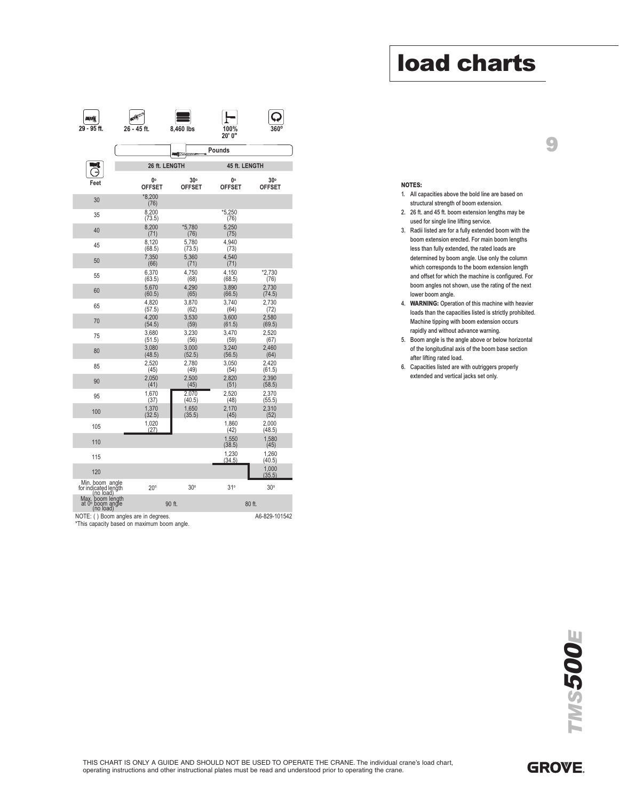# 9

- 1. All capacities above the bold line are based on structural strength of boom extension.
- 2. 26 ft. and 45 ft. boom extension lengths may be used for single line lifting service.
- 3. Radii listed are for a fully extended boom with the boom extension erected. For main boom lengths less than fully extended, the rated loads are determined by boom angle. Use only the column which corresponds to the boom extension length and offset for which the machine is configured. For boom angles not shown, use the rating of the next lower boom angle.
- 4. WARNING: Operation of this machine with heavier loads than the capacities listed is strictly prohibited. Machine tipping with boom extension occurs rapidly and without advance warning.
- 5. Boom angle is the angle above or below horizontal of the longitudinal axis of the boom base section after lifting rated load.
- 6. Capacities listed are with outriggers properly extended and vertical jacks set only.

| 26 - 45 ft.<br><b>26 ft. LENGTH</b><br>О°<br><b>OFFSET</b><br>$*8.200$ | 8,460 lbs<br><b>MO</b><br>$30^\circ$<br>OFFSET                                                           | 100%<br>20' 0"<br>Pounds<br>45 ft. LENGTH<br>0°                                                                                             |                                                                                                                          |
|------------------------------------------------------------------------|----------------------------------------------------------------------------------------------------------|---------------------------------------------------------------------------------------------------------------------------------------------|--------------------------------------------------------------------------------------------------------------------------|
|                                                                        |                                                                                                          |                                                                                                                                             |                                                                                                                          |
|                                                                        |                                                                                                          |                                                                                                                                             |                                                                                                                          |
|                                                                        |                                                                                                          |                                                                                                                                             |                                                                                                                          |
|                                                                        |                                                                                                          | OFFSET                                                                                                                                      | $30^\circ$<br><b>OFFSET</b>                                                                                              |
|                                                                        |                                                                                                          |                                                                                                                                             |                                                                                                                          |
| 8.200<br>(73.5)                                                        |                                                                                                          | *5,250<br>(76)                                                                                                                              |                                                                                                                          |
| 8.200<br>(71)                                                          | *5.780<br>(76)                                                                                           | 5.250<br>(75)                                                                                                                               |                                                                                                                          |
| 8,120<br>(68.5)                                                        | 5,780<br>(73.5)                                                                                          | 4,940<br>(73)                                                                                                                               |                                                                                                                          |
| 7.350                                                                  | 5,360                                                                                                    | 4.540                                                                                                                                       |                                                                                                                          |
| 6,370<br>(63.5)                                                        | 4,750<br>(68)                                                                                            | 4,150<br>(68.5)                                                                                                                             | *2,730<br>(76)                                                                                                           |
| 5,670                                                                  | 4,290                                                                                                    | 3,890                                                                                                                                       | 2,730<br>(74.5)                                                                                                          |
| 4,820                                                                  | 3,870                                                                                                    | 3,740                                                                                                                                       | 2,730<br>(72)                                                                                                            |
| 4,200                                                                  | 3,530                                                                                                    | 3,600                                                                                                                                       | 2,580<br>(69.5)                                                                                                          |
| 3.680                                                                  | 3.230                                                                                                    | 3.470                                                                                                                                       | 2.520<br>(67)                                                                                                            |
| 3.080                                                                  | 3,000                                                                                                    | 3.240                                                                                                                                       | 2.460<br>(64)                                                                                                            |
| 2,520                                                                  | 2,780                                                                                                    | 3.050                                                                                                                                       | 2.420<br>(61.5)                                                                                                          |
| 2,050                                                                  | 2,500                                                                                                    | 2,820                                                                                                                                       | 2,390<br>(58.5)                                                                                                          |
| 1,670                                                                  | 2,070                                                                                                    | 2,520                                                                                                                                       | 2,370<br>(55.5)                                                                                                          |
| 1,370                                                                  | 1,650                                                                                                    | 2,170                                                                                                                                       | 2,310<br>(52)                                                                                                            |
| 1,020                                                                  |                                                                                                          | 1,860                                                                                                                                       | 2,000<br>(48.5)                                                                                                          |
|                                                                        |                                                                                                          | 1,550                                                                                                                                       | 1,580<br>(45)                                                                                                            |
|                                                                        |                                                                                                          | 1,230                                                                                                                                       | 1,260<br>(40.5)                                                                                                          |
|                                                                        |                                                                                                          |                                                                                                                                             | 1,000<br>(35.5)                                                                                                          |
| $20^\circ$                                                             | 30°                                                                                                      | 31°                                                                                                                                         | 30°                                                                                                                      |
|                                                                        |                                                                                                          |                                                                                                                                             |                                                                                                                          |
| NOTE: () Boom angles are in degrees.                                   |                                                                                                          |                                                                                                                                             | A6-829-101542                                                                                                            |
|                                                                        |                                                                                                          |                                                                                                                                             |                                                                                                                          |
|                                                                        |                                                                                                          |                                                                                                                                             |                                                                                                                          |
|                                                                        | (76)<br>(66)<br>(60.5)<br>(57.5)<br>(54.5)<br>(51.5)<br>(48.5)<br>(45)<br>(41)<br>(37)<br>(32.5)<br>(27) | (71)<br>(65)<br>(62)<br>(59)<br>(56)<br>(52.5)<br>(49)<br>(45)<br>(40.5)<br>(35.5)<br>90 ft.<br>*This capacity based on maximum boom angle. | (71)<br>(66.5)<br>(64)<br>(61.5)<br>(59)<br>(56.5)<br>(54)<br>(51)<br>(48)<br>(45)<br>(42)<br>(38.5)<br>(34.5)<br>80 ft. |

 $\Box$ 

 $\overline{\Omega}$ 

 $\Box$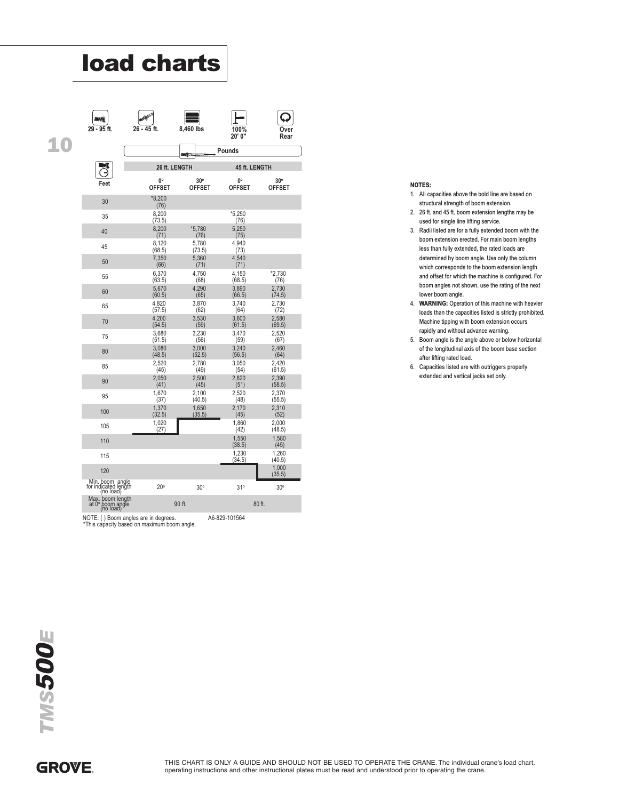| 29 - 95 ft.                                                                         | 26 - 45 ft.         | 8,460 lbs            | 100%<br>20' 0"      | ()ver<br>Rear        |
|-------------------------------------------------------------------------------------|---------------------|----------------------|---------------------|----------------------|
|                                                                                     |                     | <b>MEXICO</b>        | Pounds              |                      |
|                                                                                     |                     | 26 ft. LENGTH        |                     | 45 ft. LENGTH        |
| Feet                                                                                | 0°<br><b>OFFSET</b> | 30°<br><b>OFFSET</b> | 0°<br><b>OFFSET</b> | 30°<br><b>OFFSET</b> |
| 30                                                                                  | $*8,200$<br>(76)    |                      |                     |                      |
| 35                                                                                  | 8,200<br>(73.5)     |                      | $*5,250$<br>(76)    |                      |
| 40                                                                                  | 8,200<br>(71)       | *5,780<br>(76)       | 5,250<br>(75)       |                      |
| 45                                                                                  | 8,120<br>(68.5)     | 5,780<br>(73.5)      | 4,940<br>(73)       |                      |
| 50                                                                                  | 7,350<br>(66)       | 5,360<br>(71)        | 4,540<br>(71)       |                      |
| 55                                                                                  | 6,370<br>(63.5)     | 4,750<br>(68)        | 4,150<br>(68.5)     | *2.730<br>(76)       |
| 60                                                                                  | 5,670<br>(60.5)     | 4,290<br>(65)        | 3,890<br>(66.5)     | 2,730<br>(74.5)      |
| 65                                                                                  | 4,820<br>(57.5)     | 3,870<br>(62)        | 3,740<br>(64)       | 2,730<br>(72)        |
| 70                                                                                  | 4,200<br>(54.5)     | 3,530<br>(59)        | 3,600<br>(61.5)     | 2,580<br>(69.5)      |
| 75                                                                                  | 3,680<br>(51.5)     | 3,230<br>(56)        | 3,470<br>(59)       | 2,520<br>(67)        |
| 80                                                                                  | 3,080<br>(48.5)     | 3,000<br>(52.5)      | 3,240<br>(56.5)     | 2.460<br>(64)        |
| 85                                                                                  | 2,520<br>(45)       | 2,780<br>(49)        | 3,050<br>(54)       | 2.420<br>(61.5)      |
| 90                                                                                  | 2,050<br>(41)       | 2,500<br>(45)        | 2,820<br>(51)       | 2,390<br>(58.5)      |
| 95                                                                                  | 1,670<br>(37)       | 2.100<br>(40.5)      | 2.520<br>(48)       | 2.370<br>(55.5)      |
| 100                                                                                 | 1.370<br>(32.5)     | 1,650<br>(35.5)      | 2.170<br>(45)       | 2.310<br>(52)        |
| 105                                                                                 | 1,020<br>(27)       |                      | 1,860<br>(42)       | 2,000<br>(48.5)      |
| 110                                                                                 |                     |                      | 1,550<br>(38.5)     | 1,580<br>(45)        |
| 115                                                                                 |                     |                      | 1.230<br>(34.5)     | 1.260<br>(40.5)      |
| 120                                                                                 |                     |                      |                     | 1,000<br>(35.5)      |
| Min. boom angle<br>for indicated length<br>(no load)                                | $20^{\circ}$        | $30^\circ$           | 31°                 | $30^\circ$           |
| Max. boom length<br>at 0° boom angle<br>(no load)                                   |                     | 90 ft.               |                     | 80 ft.               |
| NOTE: () Boom angles are in degrees.<br>*This capacity based on maximum boom angle. |                     |                      | A6-829-101564       |                      |

#### NOTES:

- 1. All capacities above the bold line are based on structural strength of boom extension.
- 2. 26 ft. and 45 ft. boom extension lengths may be used for single line lifting service.
- 3. Radii listed are for a fully extended boom with the boom extension erected. For main boom lengths less than fully extended, the rated loads are determined by boom angle. Use only the column which corresponds to the boom extension length and offset for which the machine is configured. For boom angles not shown, use the rating of the next lower boom angle.
- 4. WARNING: Operation of this machine with heavier loads than the capacities listed is strictly prohibited. Machine tipping with boom extension occurs rapidly and without advance warning.
- 5. Boom angle is the angle above or below horizontal of the longitudinal axis of the boom base section after lifting rated load.
- 6. Capacities listed are with outriggers properly extended and vertical jacks set only.

10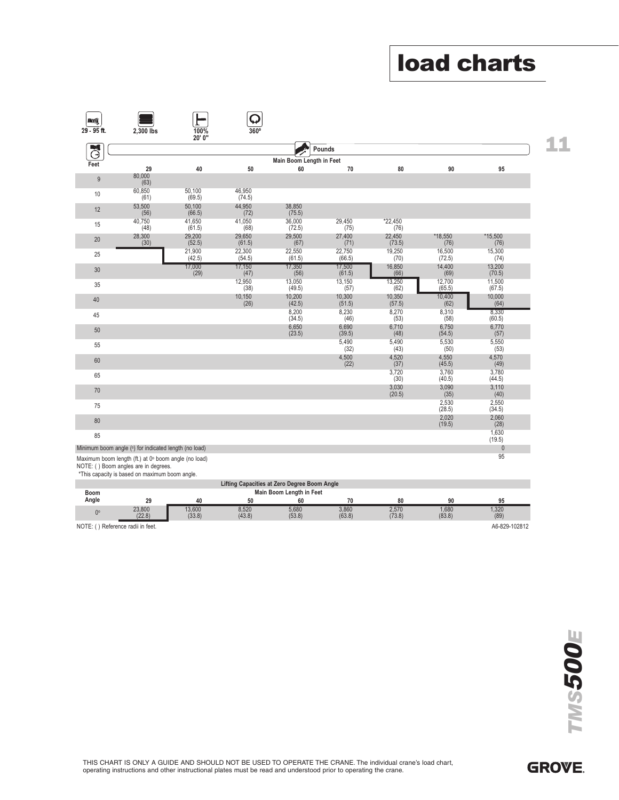11

|                |                                                                                                                                                |                         |                                              |                                |                                   |                          |                             | <b>load charts</b>       |
|----------------|------------------------------------------------------------------------------------------------------------------------------------------------|-------------------------|----------------------------------------------|--------------------------------|-----------------------------------|--------------------------|-----------------------------|--------------------------|
|                |                                                                                                                                                |                         |                                              |                                |                                   |                          |                             |                          |
|                |                                                                                                                                                |                         |                                              |                                |                                   |                          |                             |                          |
| $\blacksquare$ |                                                                                                                                                |                         |                                              |                                |                                   |                          |                             |                          |
| $29 - 95$ ft.  | 2,300 lbs                                                                                                                                      | 100%<br>20' 0"          | 360°                                         |                                |                                   |                          |                             |                          |
| J              |                                                                                                                                                |                         |                                              |                                | Pounds                            |                          |                             |                          |
| Feet           | 29                                                                                                                                             | 40                      | 50                                           | Main Boom Length in Feet<br>60 | 70                                | 80                       | 90                          | 95                       |
| $9\,$          | 80,000<br>(63)                                                                                                                                 |                         |                                              |                                |                                   |                          |                             |                          |
| 10             | 60,850<br>(61)                                                                                                                                 | 50,100<br>(69.5)        | 46,950<br>(74.5)                             |                                |                                   |                          |                             |                          |
| 12             | 53,500<br>(56)                                                                                                                                 | 50,100<br>(66.5)        | 44,950<br>(72)                               | 38,850<br>(75.5)               |                                   |                          |                             |                          |
| 15             | 40,750<br>(48)                                                                                                                                 | 41,650<br>(61.5)        | 41,050<br>(68)                               | 36,000<br>(72.5)               | 29,450<br>(75)                    | $*22,450$<br>(76)        |                             |                          |
| 20             | 28,300<br>(30)                                                                                                                                 | 29,200<br>(52.5)        | 29,650<br>(61.5)                             | 29,500<br>(67)                 | 27,400<br>(71)                    | 22,450<br>(73.5)         | *18,550<br>(76)             | *15,500<br>(76)          |
| 25             |                                                                                                                                                | 21,900<br>(42.5)        | 22,300<br>(54.5)                             | 22,550<br>(61.5)               | 22,750<br>(66.5)                  | 19,250<br>(70)<br>16,850 | 16,500<br>(72.5)            | 15,300<br>(74)<br>13,200 |
| 30             |                                                                                                                                                | 17,000<br>(29)          | $\frac{17,150}{(47)}$<br>12,950              | 17,350<br>(56)<br>13,050       | $\frac{17,500}{(61.5)}$<br>13,150 | (66)<br>13,250           | 14,400<br>(69)<br>12,700    | (70.5)<br>11,500         |
| 35             |                                                                                                                                                |                         | (38)<br>10,150                               | (49.5)<br>10,200               | (57)<br>10,300                    | (62)<br>10,350           | (65.5)<br>10,400            | (67.5)<br>10,000         |
| 40             |                                                                                                                                                |                         | (26)                                         | (42.5)<br>8,200                | (51.5)<br>8,230                   | (57.5)<br>8,270          | (62)<br>8,310               | (64)<br>8,330            |
| 45             |                                                                                                                                                |                         |                                              | (34.5)<br>6,650                | (46)<br>6,690                     | (53)<br>6,710            | (58)<br>6,750               | (60.5)<br>6,770          |
| $50\,$<br>55   |                                                                                                                                                |                         |                                              | (23.5)                         | (39.5)<br>5,490                   | (48)<br>5,490            | (54.5)<br>5,530             | (57)<br>5,550            |
| $60\,$         |                                                                                                                                                |                         |                                              |                                | (32)<br>$4,500$<br>(22)           | (43)<br>4,520            | (50)                        | (53)<br>4,570            |
| 65             |                                                                                                                                                |                         |                                              |                                |                                   | (37)<br>3,720            | $4,550$<br>(45.5)<br>3,760  | (49)<br>3,780            |
| $70\,$         |                                                                                                                                                |                         |                                              |                                |                                   | (30)<br>3,030            | (40.5)<br>3,090             | (44.5)<br>3,110          |
| 75             |                                                                                                                                                |                         |                                              |                                |                                   | (20.5)                   | (35)<br>2,530               | (40)<br>2,550            |
| $80\,$         |                                                                                                                                                |                         |                                              |                                |                                   |                          | (28.5)<br>$2,020$<br>(19.5) | (34.5)<br>2,060          |
| 85             |                                                                                                                                                |                         |                                              |                                |                                   |                          |                             | (28)<br>1,630            |
|                | Minimum boom angle (°) for indicated length (no load)                                                                                          |                         |                                              |                                |                                   |                          |                             | (19.5)<br>$\pmb{0}$      |
|                | Maximum boom length (ft.) at 0° boom angle (no load)<br>NOTE: () Boom angles are in degrees.<br>*This capacity is based on maximum boom angle. |                         |                                              |                                |                                   |                          |                             | 95                       |
|                |                                                                                                                                                |                         | Lifting Capacities at Zero Degree Boom Angle | Main Boom Length in Feet       |                                   |                          |                             |                          |
| Boom<br>Angle  | ${\bf 29}$                                                                                                                                     | $40\,$                  | 50                                           | 60                             | 70                                | ${\bf 80}$               | $90\,$                      | 95                       |
| $0^\circ$      | 23,800<br>(22.8)                                                                                                                               | $\frac{13,600}{(33.8)}$ | $8,520$<br>(43.8)                            | 5,680<br>(53.8)                | 3,860<br>(63.8)                   | 2,570<br>(73.8)          | $1,680$<br>$(83.8)$         | 1,320<br>(89)            |
|                | NOTE: () Reference radii in feet.                                                                                                              |                         |                                              |                                |                                   |                          |                             | A6-829-102812            |
|                |                                                                                                                                                |                         |                                              |                                |                                   |                          |                             |                          |
|                |                                                                                                                                                |                         |                                              |                                |                                   |                          |                             |                          |

|         |                             |                  |                 | Lifting Capacities at Zero Degree Boom Angle |                 |                 |                 |               |
|---------|-----------------------------|------------------|-----------------|----------------------------------------------|-----------------|-----------------|-----------------|---------------|
| Boom    |                             |                  |                 | Main Boom Length in Feet                     |                 |                 |                 |               |
| Angle   | 29                          | 40               | 50              |                                              | 70              | 80              | 90              | 95            |
|         | 23,800<br>(22.8)            | 13,600<br>(33.8) | 8.520<br>(43.8) | 5,680<br>(53.8)                              | 3.860<br>(63.8) | 2.570<br>(73.8) | 1.680<br>(83.8) | ,320<br>(89)  |
| NOTE: ( | () Reference radii in feet. |                  |                 |                                              |                 |                 |                 | A6-829-102812 |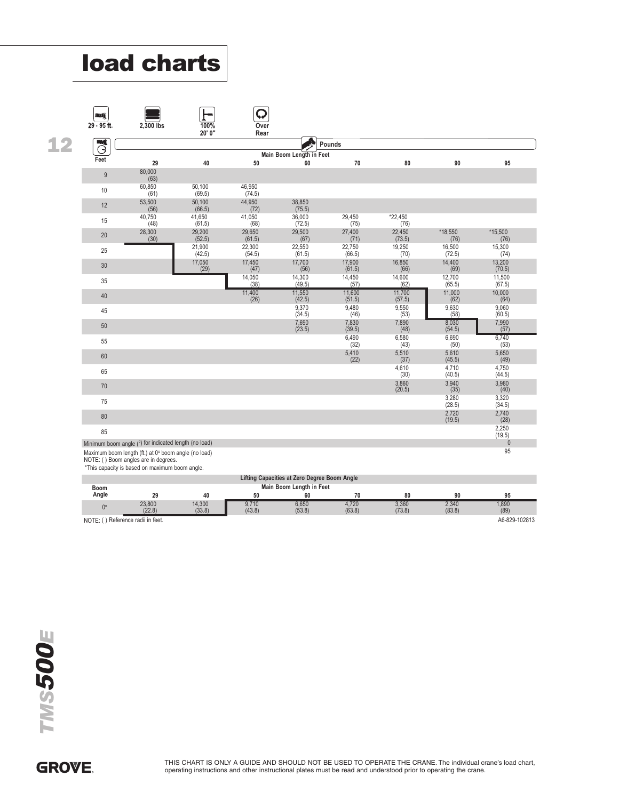|    |                                      | <b>load charts</b>                                                                                            |                            |                        |                                                                          |                     |                     |                        |                   |
|----|--------------------------------------|---------------------------------------------------------------------------------------------------------------|----------------------------|------------------------|--------------------------------------------------------------------------|---------------------|---------------------|------------------------|-------------------|
|    |                                      |                                                                                                               |                            |                        |                                                                          |                     |                     |                        |                   |
|    |                                      |                                                                                                               |                            |                        |                                                                          |                     |                     |                        |                   |
|    |                                      |                                                                                                               |                            | Q                      |                                                                          |                     |                     |                        |                   |
|    | <b>DANG</b><br>29 - 95 ft.           | 2,300 lbs                                                                                                     | 100%                       | Over                   |                                                                          |                     |                     |                        |                   |
| 12 | WÛ                                   |                                                                                                               | 20'0'                      | Rear                   |                                                                          | Pounds              |                     |                        |                   |
|    | $\mathcal{O}$<br>Feet                |                                                                                                               |                            |                        | Main Boom Length in Feet                                                 |                     |                     |                        |                   |
|    | $9\,$                                | 29<br>80,000                                                                                                  | 40                         | 50                     | 60                                                                       | 70                  | 80                  | 90                     | 95                |
|    | 10                                   | (63)<br>60,850                                                                                                | 50,100                     | 46,950                 |                                                                          |                     |                     |                        |                   |
|    | 12                                   | (61)<br>53,500                                                                                                | (69.5)<br>50,100           | (74.5)<br>44,950       | 38,850                                                                   |                     |                     |                        |                   |
|    | 15                                   | (56)<br>40,750<br>(48)                                                                                        | (66.5)<br>41,650           | (72)<br>41,050<br>(68) | (75.5)<br>36,000                                                         | 29,450<br>(75)      | *22,450<br>(76)     |                        |                   |
|    | 20                                   | 28,300<br>(30)                                                                                                | (61.5)<br>29,200<br>(52.5) | 29,650<br>(61.5)       | (72.5)<br>29,500<br>(67)                                                 | 27,400<br>(71)      | 22,450<br>(73.5)    | *18,550<br>(76)        | *15,500<br>(76)   |
|    | 25                                   |                                                                                                               | 21,900<br>(42.5)           | 22,300<br>(54.5)       | 22,550<br>(61.5)                                                         | 22,750<br>(66.5)    | 19,250<br>(70)      | 16,500<br>(72.5)       | 15,300<br>(74)    |
|    | 30                                   |                                                                                                               | 17,050<br>(29)             | 17,450<br>(41)         | 17,700<br>(50)                                                           | 17,900<br>(61.5)    | 16,850<br>(pp)      | 14,400<br>(69)         | 13,200<br>(70.5)  |
|    | 35                                   |                                                                                                               |                            | $14,050$<br>(38)       | $14,300$<br>(49.5)                                                       | 14,450<br>(57)      | 14,600<br>(62)      | 12,700<br>(65.5)       | 11,500<br>(67.5)  |
|    | $40\,$                               |                                                                                                               |                            | $\frac{11,400}{(26)}$  | $11,550$<br>(42.5)                                                       | 11,600<br>(51.5)    | $11,700$<br>(57.5)  | $11,000$<br>(62)       | $10,000$<br>(64)  |
|    | 45                                   |                                                                                                               |                            |                        | $9,370$<br>$(34.5)$                                                      | 9,480<br>(46)       | 9,550<br>(53)       | 9,630<br>(58)          | 9,060<br>(60.5)   |
|    | $50\,$                               |                                                                                                               |                            |                        | $7,690$<br>$(23.5)$                                                      | $7,830$<br>$(39.5)$ | $7,890$<br>(48)     | $8,030$<br>(54.5)      | $7,990$<br>$(57)$ |
|    | 55                                   |                                                                                                               |                            |                        |                                                                          | 6,490<br>(32)       | 6,580<br>(43)       | 6,690<br>(50)          | 6,740<br>(53)     |
|    | $60\,$                               |                                                                                                               |                            |                        |                                                                          | $5,410$<br>(22)     | $5,510$<br>(37)     | 5,610<br>(45.5)        | $5,650$<br>(49)   |
|    | 65                                   |                                                                                                               |                            |                        |                                                                          |                     | $4,610$<br>$(30)$   | 4,710<br>(40.5)        | $4,750$<br>(44.5) |
|    | 70                                   |                                                                                                               |                            |                        |                                                                          |                     | $3,860$<br>(20.5)   | $3,940$<br>$(35)$      | $3,980$<br>(40)   |
|    | 75                                   |                                                                                                               |                            |                        |                                                                          |                     |                     | 3,280<br>(28.5)        | 3,320<br>(34.5)   |
|    | $80\,$                               |                                                                                                               |                            |                        |                                                                          |                     |                     | $2,720$<br>(19.5)      | $2,740$<br>(28)   |
|    | 85                                   |                                                                                                               |                            |                        |                                                                          |                     |                     |                        | 2,250<br>(19.5)   |
|    |                                      | Minimum boom angle (°) for indicated length (no load)<br>Maximum boom length (ft.) at 0° boom angle (no load) |                            |                        |                                                                          |                     |                     |                        | $\pmb{0}$<br>95   |
|    | NOTE: () Boom angles are in degrees. | *This capacity is based on maximum boom angle.                                                                |                            |                        |                                                                          |                     |                     |                        |                   |
|    | Boom                                 |                                                                                                               |                            |                        | Lifting Capacities at Zero Degree Boom Angle<br>Main Boom Length in Feet |                     |                     |                        |                   |
|    | Angle                                | 29                                                                                                            | 40                         | 50                     | 60                                                                       | 70                  | ${\bf 80}$          | $90\,$                 | 95<br>1,890       |
|    | $0^{\rm o}$                          | $23,800$<br>$(22.8)$                                                                                          | $14,300$<br>$(33.8)$       | $\frac{9,710}{(43.8)}$ | $6,650$<br>$(53.8)$                                                      | $4,720$<br>(63.8)   | $3,360$<br>$(73.8)$ | $\frac{2,340}{(83.8)}$ | (89)              |
|    | NOTE: () Reference radii in feet.    |                                                                                                               |                            |                        |                                                                          |                     |                     |                        | A6-829-102813     |
|    |                                      |                                                                                                               |                            |                        |                                                                          |                     |                     |                        |                   |

|             |                          |                  |                 | Lifting Capacities at Zero Degree Boom Angle |                 |                 |                 |               |
|-------------|--------------------------|------------------|-----------------|----------------------------------------------|-----------------|-----------------|-----------------|---------------|
| <b>Boom</b> |                          |                  |                 | Main Boom Length in Feet                     |                 |                 |                 |               |
| Angle       | 29                       | 40               | 50              | 60                                           | 70              | 80              | 90              | 95            |
|             | 23,800<br>(22.8)         | 14.300<br>(33.8) | 9.710<br>(43.8) | 6,650<br>(53.8)                              | 4,720<br>(63.8) | 3.360<br>(73.8) | 2.340<br>(83.8) | ,890<br>(89)  |
| NOTE:       | Reference radii in feet. |                  |                 |                                              |                 |                 |                 | A6-829-102813 |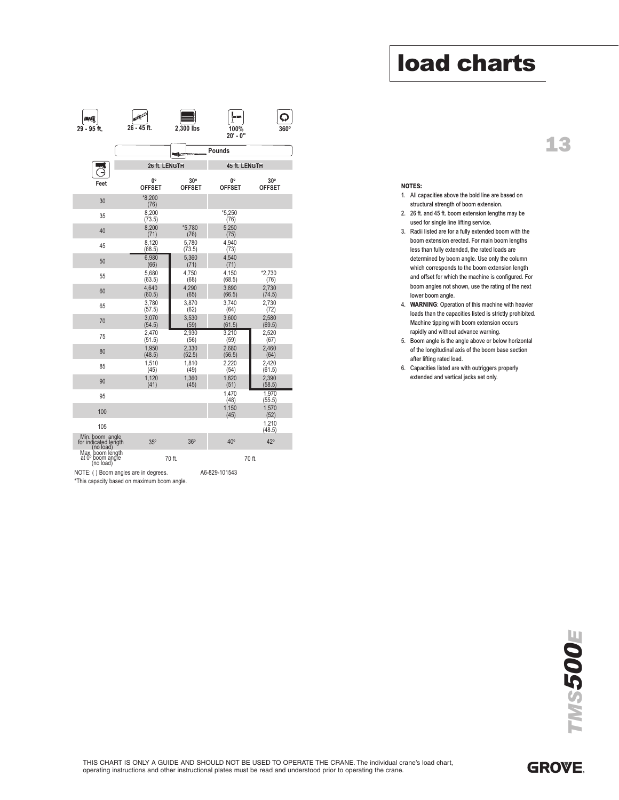# 13

| 一項                                                                                  |                  |                             |                     |                               |
|-------------------------------------------------------------------------------------|------------------|-----------------------------|---------------------|-------------------------------|
| 29 - 95 ft.                                                                         | 26 - 45 ft.      | 2,300 lbs                   | 100%<br>20' - 0"    |                               |
|                                                                                     |                  | mag∖                        | Pounds              |                               |
|                                                                                     | 26 ft. LENGTH    |                             | 45 ft. LENGTH       |                               |
| Feet                                                                                | 0°<br>OFFSET     | $30^\circ$<br><b>OFFSET</b> | 0°<br><b>OFFSET</b> | $30^{\circ}$<br><b>OFFSET</b> |
| 30                                                                                  | $*8.200$<br>(76) |                             |                     |                               |
| 35                                                                                  | 8,200<br>(73.5)  |                             | *5,250<br>(76)      |                               |
| 40                                                                                  | 8,200<br>(71)    | $*5,780$<br>(76)            | 5,250<br>(75)       |                               |
| 45                                                                                  | 8,120<br>(68.5)  | 5,780<br>(73.5)             | 4,940<br>(73)       |                               |
| 50                                                                                  | 6,980<br>(66)    | 5,360<br>(71)               | 4,540<br>(71)       |                               |
| 55                                                                                  | 5,680<br>(63.5)  | 4,750<br>(68)               | 4,150<br>(68.5)     | *2,730<br>(76)                |
| 60                                                                                  | 4,640<br>(60.5)  | 4,290<br>(65)               | 3,890<br>(66.5)     | 2,730<br>(74.5)               |
| 65                                                                                  | 3,780<br>(57.5)  | 3,870<br>(62)               | 3,740<br>(64)       | 2,730<br>(72)                 |
| 70                                                                                  | 3,070<br>(54.5)  | 3,530<br>(59)               | 3,600<br>(61.5)     | 2,580<br>(69.5)               |
| 75                                                                                  | 2,470<br>(51.5)  | 2,930<br>(56)               | 3,210<br>(59)       | 2,520<br>(67)                 |
| 80                                                                                  | 1,950<br>(48.5)  | 2,330<br>(52.5)             | 2,680<br>(56.5)     | 2,460<br>(64)                 |
| 85                                                                                  | 1,510<br>(45)    | 1,810<br>(49)               | 2.220<br>(54)       | 2,420<br>(61.5)               |
| 90                                                                                  | 1,120<br>(41)    | 1,360<br>(45)               | 1,820<br>(51)       | 2,390<br>(58.5)               |
| 95                                                                                  |                  |                             | 1,470<br>(48)       | 1,970<br>(55.5)               |
| 100                                                                                 |                  |                             | 1,150<br>(45)       | 1,570<br>(52)                 |
| 105                                                                                 |                  |                             |                     | 1,210<br>(48.5)               |
| Min. boom angle<br>for indicated length<br>(no load)                                | $35^\circ$       | 36°                         | $40^\circ$          | $42^\circ$                    |
| Max. boom length<br>at 0° boom angle<br>(no load)                                   |                  | 70 ft.                      |                     | 70 ft.                        |
| NOTE: () Boom angles are in degrees.<br>*This capacity based on maximum boom angle. |                  |                             | A6-829-101543       |                               |
|                                                                                     |                  |                             |                     |                               |
|                                                                                     |                  |                             |                     |                               |

#### NOTES:

- 1. All capacities above the bold line are based on structural strength of boom extension.
- 2. 26 ft. and 45 ft. boom extension lengths may be used for single line lifting service.
- 3. Radii listed are for a fully extended boom with the boom extension erected. For main boom lengths less than fully extended, the rated loads are determined by boom angle. Use only the column which corresponds to the boom extension length and offset for which the machine is configured. For boom angles not shown, use the rating of the next lower boom angle.
- 4. WARNING: Operation of this machine with heavier loads than the capacities listed is strictly prohibited. Machine tipping with boom extension occurs rapidly and without advance warning.
- 5. Boom angle is the angle above or below horizontal of the longitudinal axis of the boom base section after lifting rated load.
- 6. Capacities listed are with outriggers properly extended and vertical jacks set only.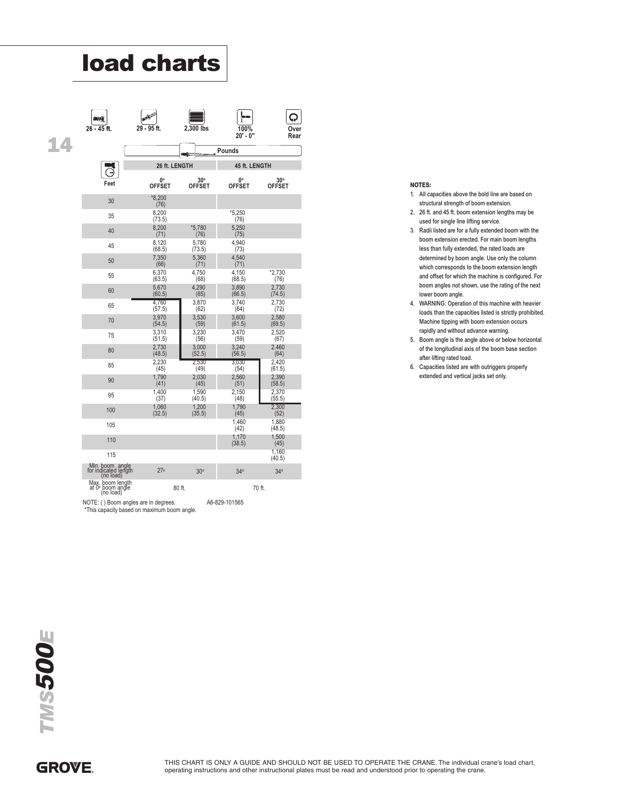| <b>load charts</b>                                    |                              |                             |                     |                             |
|-------------------------------------------------------|------------------------------|-----------------------------|---------------------|-----------------------------|
| ГW<br>$26 - 45$ ft.                                   | 29 - 95 ft.                  | 2,300 lbs                   | 100%<br>$20' - 0''$ |                             |
|                                                       |                              |                             | Pounds              |                             |
|                                                       | 26 ft. LENGTH                |                             | 45 ft. LENGTH       |                             |
| Feet                                                  | $0^{\circ}$<br><b>OFFSET</b> | $30^\circ$<br><b>OFFSET</b> | О°<br><b>OFFSET</b> | $30^\circ$<br><b>OFFSET</b> |
| 30                                                    | $*8,200$<br>(76)             |                             |                     |                             |
| 35                                                    | 8,200<br>(73.5)              |                             | $*5.250$<br>(76)    |                             |
| 40                                                    | 8,200<br>(71)                | $*5,780$<br>(76)            | 5,250<br>(75)       |                             |
| 45                                                    | 8,120<br>(68.5)              | 5,780<br>(73.5)             | 4.940<br>(73)       |                             |
| 50                                                    | 7,350<br>(66)                | 5,360<br>(71)               | 4,540<br>(71)       |                             |
| 55                                                    | 6,370<br>(63.5)              | 4,750<br>(68)               | 4,150<br>(68.5)     | $*2,730$<br>(76)            |
| 60                                                    | 5,670<br>(60.5)              | 4,290<br>(65)               | 3,890<br>(66.5)     | 2,730<br>(74.5)             |
| 65                                                    | 4,760<br>(57.5)              | 3,870<br>(62)               | 3,740<br>(64)       | 2,730<br>(72)               |
| 70                                                    | 3,970<br>(54.5)              | 3,530<br>(59)               | 3,600<br>(61.5)     | 2,580<br>(69.5)             |
| 75                                                    | 3,310<br>(51.5)              | 3,230<br>(56)               | 3,470<br>(59)       | 2,520<br>(67)               |
| 80                                                    | 2,730<br>(48.5)              | 3,000<br>(52.5)             | 3,240<br>(56.5)     | 2,460<br>(64)               |
| 85                                                    | 2,230<br>(45)                | 2,530<br>(49)               | 3,030<br>(54)       | 2,420<br>(61.5)             |
| 90                                                    | 1,790<br>(41)                | 2,030<br>(45)               | 2,560<br>(51)       | 2,390<br>(58.5)             |
| 95                                                    | 1,400<br>(37)                | 1,590<br>(40.5)             | 2,150<br>(48)       | 2,370<br>(55.5)             |
| 100                                                   | 1,060<br>(32.5)              | 1,200<br>(35.5)             | 1,790<br>(45)       | 2.300<br>(52)               |
| 105                                                   |                              |                             | 1,460<br>(42)       | 1,880<br>(48.5)             |
| 110                                                   |                              |                             | 1,170<br>(38.5)     | 1,500<br>(45)               |
| 115                                                   |                              |                             |                     | 1,160<br>(40.5)             |
| Min. boom, angle<br>for indicated length<br>(no load) | 27 <sup>°</sup>              | 30°                         | 34 <sup>°</sup>     | 34 <sup>°</sup>             |
| Max. boom length<br>at 0° boom angle<br>(no load)     |                              | 80 ft.                      | 70 ft.              |                             |

#### NOTES:

- 1. All capacities above the bold line are based on structural strength of boom extension.
- 2. 26 ft. and 45 ft. boom extension lengths may be used for single line lifting service.
- 3. Radii listed are for a fully extended boom with the boom extension erected. For main boom lengths less than fully extended, the rated loads are determined by boom angle. Use only the column which corresponds to the boom extension length and offset for which the machine is configured. For boom angles not shown, use the rating of the next lower boom angle.
- 4. WARNING: Operation of this machine with heavier loads than the capacities listed is strictly prohibited. Machine tipping with boom extension occurs rapidly and without advance warning.
- 5. Boom angle is the angle above or below horizontal of the longitudinal axis of the boom base section after lifting rated load.
- 6. Capacities listed are with outriggers properly extended and vertical jacks set only.

14

### **GROVE**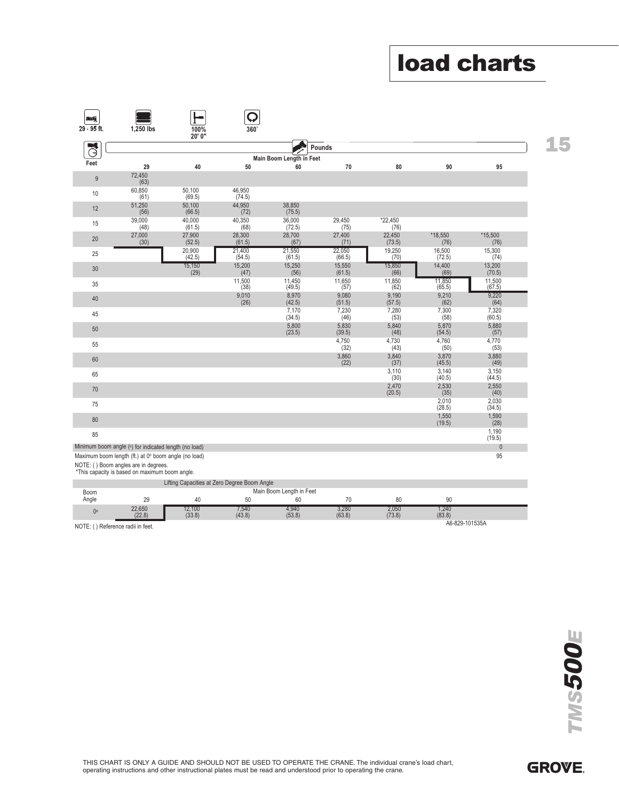|    | <b>load charts</b>             |                                |                           |                         |                                |                                |                                              |                                                                                                                                                                                                         |                             |
|----|--------------------------------|--------------------------------|---------------------------|-------------------------|--------------------------------|--------------------------------|----------------------------------------------|---------------------------------------------------------------------------------------------------------------------------------------------------------------------------------------------------------|-----------------------------|
|    |                                |                                |                           |                         |                                |                                |                                              |                                                                                                                                                                                                         |                             |
|    |                                |                                |                           |                         |                                |                                |                                              |                                                                                                                                                                                                         |                             |
|    |                                |                                |                           |                         |                                | Q<br>360                       | 100%                                         | 1,250 lbs                                                                                                                                                                                               | <b>DAY</b><br>$29 - 95$ ft. |
| 15 |                                |                                |                           | Pounds                  |                                |                                | 20' 0"                                       |                                                                                                                                                                                                         | J                           |
|    | 95                             | 90                             | 80                        | 70                      | Main Boom Length in Feet<br>60 | 50                             | 40                                           | 29                                                                                                                                                                                                      | Feet                        |
|    |                                |                                |                           |                         |                                |                                |                                              | 72,450<br>(63)                                                                                                                                                                                          | $9\,$                       |
|    |                                |                                |                           |                         | 38,850                         | 46,950<br>(74.5)<br>44,950     | 50,100<br>(69.5)<br>50,100                   | 60,850<br>(61)<br>51,250                                                                                                                                                                                | 10                          |
|    |                                |                                | *22,450                   | 29,450                  | (75.5)<br>36,000               | (72)<br>40,350                 | (66.5)<br>40,000                             | (56)<br>39,000                                                                                                                                                                                          | 12                          |
|    | *15,500                        | $*18,550$                      | (76)<br>22,450            | (75)<br>27,400          | (72.5)<br>28,700               | (68)<br>28,300                 | (61.5)<br>27,900                             | (48)<br>27,000                                                                                                                                                                                          | 15                          |
|    | (76)<br>15,300                 | (76)<br>16,500                 | (73.5)<br>19,250          | (71)<br>22,050          | (67)<br>21,550                 | (61.5)<br>21,400               | (52.5)<br>20,900                             | (30)                                                                                                                                                                                                    | $20\,$                      |
|    | (74)<br>13,200                 | (72.5)<br>14,400               | (70)<br>15,850            | (66.5)<br>15,550        | (61.5)<br>15,250               | (54.5)<br>15,200               | (42.5)<br>15,150                             |                                                                                                                                                                                                         | 25                          |
|    | (70.5)                         | (69)<br>11,850                 | (66)                      | (61.5)<br>11,650        | (56)                           | (47)                           | (29)                                         |                                                                                                                                                                                                         | 30                          |
|    | $11,500$<br>(67.5)<br>9,220    | (65.5)<br>9,210                | $11,850$<br>(62)<br>9,190 | (57)<br>9,080           | 11,450<br>(49.5)<br>8,970      | $\frac{11,500}{(38)}$<br>9,010 |                                              |                                                                                                                                                                                                         | 35<br>40                    |
|    | (64)<br>7,320                  | (62)<br>7,300                  | (57.5)<br>7,280           | (51.5)<br>7,230         | (42.5)<br>7,170                | (26)                           |                                              |                                                                                                                                                                                                         | 45                          |
|    | (60.5)<br>$5,880$<br>(57)      | (58)<br>5,870                  | (53)<br>5,840             | (46)<br>5,830           | (34.5)<br>$5,800$<br>(23.5)    |                                |                                              |                                                                                                                                                                                                         | 50                          |
|    | 4,770                          | (54.5)<br>4,760                | (48)<br>4,730             | (39.5)<br>4,750         |                                |                                |                                              |                                                                                                                                                                                                         | 55                          |
|    | (53)<br>$3,880$<br>(49)        | (50)<br>3,870                  | (43)<br>$3,840$<br>$(37)$ | (32)<br>$3,860$<br>(22) |                                |                                |                                              |                                                                                                                                                                                                         | 60                          |
|    | 3,150                          | (45.5)<br>3,140                | 3,110                     |                         |                                |                                |                                              |                                                                                                                                                                                                         | 65                          |
|    | (44.5)<br>2,550                | (40.5)<br>2,530                | (30)<br>2,470             |                         |                                |                                |                                              |                                                                                                                                                                                                         | $70\,$                      |
|    | (40)<br>$\frac{2,030}{(34.5)}$ | (35)<br>$\frac{2,010}{(28.5)}$ | (20.5)                    |                         |                                |                                |                                              |                                                                                                                                                                                                         | 75                          |
|    | 1,590                          | 1,550                          |                           |                         |                                |                                |                                              |                                                                                                                                                                                                         | 80                          |
|    | (28)<br>1,190<br>(19.5)        | (19.5)                         |                           |                         |                                |                                |                                              |                                                                                                                                                                                                         | 85                          |
|    | $\mathbf 0$<br>95              |                                |                           |                         |                                |                                |                                              | Minimum boom angle (°) for indicated length (no load)<br>Maximum boom length (ft.) at 0° boom angle (no load)<br>NOTE: () Boom angles are in degrees.<br>*This capacity is based on maximum boom angle. |                             |
|    |                                |                                |                           |                         | Main Boom Length in Feet       |                                | Lifting Capacities at Zero Degree Boom Angle |                                                                                                                                                                                                         | Boom                        |
|    |                                | 90                             | 80                        | 70<br>3,280             | 60<br>4,940                    | 50<br>$7,540$<br>$(43.8)$      | 40<br>12,100                                 | 29<br>22,650                                                                                                                                                                                            | Angle                       |
|    |                                | 1,240<br>(83.8)                | $\frac{2,050}{(73.8)}$    | (63.8)                  | (53.8)                         |                                |                                              |                                                                                                                                                                                                         | $0^{\circ}$                 |

|             |                             | Lifting Capacities at Zero Degree Boom Angle |                |                          |                 |                 |                |  |
|-------------|-----------------------------|----------------------------------------------|----------------|--------------------------|-----------------|-----------------|----------------|--|
| <b>Boom</b> |                             |                                              |                | Main Boom Length in Feet |                 |                 |                |  |
| Angle       | 29                          | 40                                           | 50             |                          | 70              | 80              | 90             |  |
| Ŋ٥          | 22.650<br>(22.8)            | (2.100)<br>(33.8)                            | ,540<br>(43.8) | 4.940<br>(53.8)          | 3,280<br>(63.8) | 2.050<br>(73.8) | .240<br>(83.8) |  |
| NOTE: (     | () Reference radii in feet. |                                              |                |                          |                 |                 | A6-829-101535A |  |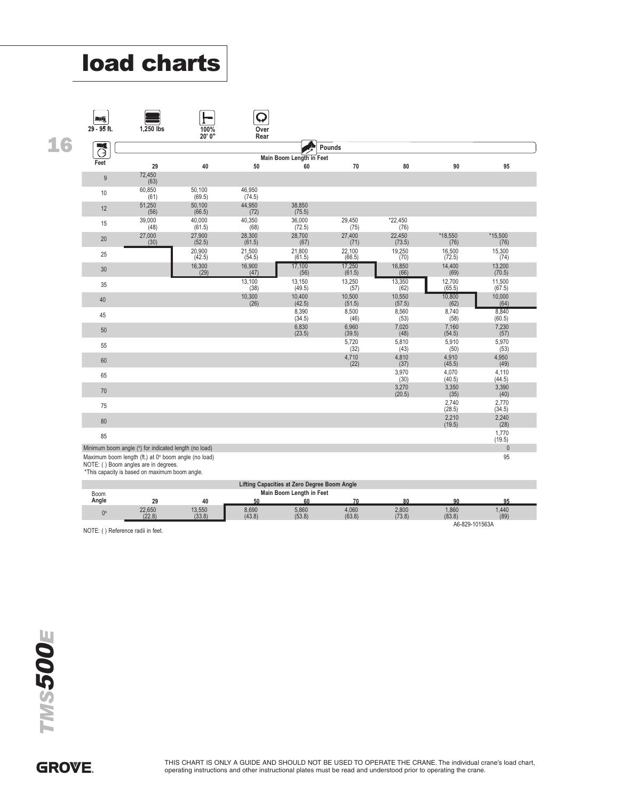|    | <b>load charts</b>                                                                           |                  |                      |                     |                                              |                         |                   |                           |                             |
|----|----------------------------------------------------------------------------------------------|------------------|----------------------|---------------------|----------------------------------------------|-------------------------|-------------------|---------------------------|-----------------------------|
|    |                                                                                              |                  |                      |                     |                                              |                         |                   |                           |                             |
|    |                                                                                              |                  |                      |                     |                                              |                         |                   |                           |                             |
|    |                                                                                              |                  |                      |                     |                                              |                         |                   |                           |                             |
|    | <b>ANG</b><br>29 - 95 ft.                                                                    |                  | 100%                 | Q                   |                                              |                         |                   |                           |                             |
| 16 |                                                                                              | 1,250 lbs        | 20' 0"               | Over<br>Rear        |                                              |                         |                   |                           |                             |
|    | $\overline{G}$                                                                               |                  |                      |                     | Main Boom Length in Feet                     | Pounds                  |                   |                           |                             |
|    | Feet                                                                                         | 29<br>72,450     | 40                   | 50                  | 60                                           | 70                      | 80                | 90                        | 95                          |
|    | $9\,$                                                                                        | (63)<br>60,850   | 50,100               | 46,950              |                                              |                         |                   |                           |                             |
|    | 10                                                                                           | (61)<br>51,250   | (69.5)<br>50,100     | (74.5)<br>44,950    | 38,850                                       |                         |                   |                           |                             |
|    | 12                                                                                           | (56)<br>39,000   | (66.5)<br>40,000     | (72)<br>40,350      | (75.5)<br>36,000                             | 29,450                  | *22,450           |                           |                             |
|    | 15                                                                                           | (48)<br>27,000   | (61.5)<br>27,900     | (68)<br>28,300      | (72.5)<br>28,700                             | (75)<br>27,400          | (76)<br>22,450    | *18,550                   | $*15,500$                   |
|    | 20                                                                                           | (30)             | (52.5)<br>20,900     | (61.5)<br>21,500    | (67)<br>21,800                               | (71)<br>22,100          | (73.5)<br>19,250  | (76)<br>16,500            | (76)<br>15,300              |
|    | 25                                                                                           |                  | (42.5)<br>16,300     | (54.5)<br>16,900    | (61.5)<br>17,100                             | (66.5)<br>17,250        | (70)<br>16,850    | (72.5)<br>14,400          | (74)<br>13,200              |
|    | 30                                                                                           |                  | (29)                 | (47)<br>13,100      | (56)<br>13,150                               | (61.5)<br>13,250        | (66)<br>13,350    | (69)<br>12,700            | (70.5)<br>11,500            |
|    | 35<br>$40\,$                                                                                 |                  |                      | (38)<br>10,300      | (49.5)<br>10,400                             | (57)<br>10,500          | (62)<br>10,550    | (65.5)<br>10,800          | (67.5)<br>10,000            |
|    | 45                                                                                           |                  |                      | (26)                | (42.5)<br>8,390                              | (51.5)<br>8,500         | (57.5)<br>8,560   | (62)<br>8,740             | (64)<br>8,840               |
|    | 50                                                                                           |                  |                      |                     | (34.5)<br>6,830                              | (46)<br>6,960           | (53)<br>7,020     | (58)<br>7,160             | (60.5)<br>7,230             |
|    | 55                                                                                           |                  |                      |                     | (23.5)                                       | (39.5)<br>5,720         | (48)<br>5,810     | (54.5)<br>5,910           | (57)<br>5,970               |
|    | 60                                                                                           |                  |                      |                     |                                              | (32)<br>$4,710$<br>(22) | (43)<br>4,810     | (50)<br>4,910             | (53)<br>4,950               |
|    | 65                                                                                           |                  |                      |                     |                                              |                         | (37)<br>3,970     | (45.5)<br>4,070           | (49)<br>4,110               |
|    | $70$                                                                                         |                  |                      |                     |                                              |                         | (30)<br>3,270     | (40.5)<br>3,350           | (44.5)<br>3,390             |
|    | 75                                                                                           |                  |                      |                     |                                              |                         | (20.5)            | (35)<br>$2,740$<br>(28.5) | (40)<br>$2,770$<br>$(34.5)$ |
|    | 80                                                                                           |                  |                      |                     |                                              |                         |                   | 2,210                     | 2,240                       |
|    | 85                                                                                           |                  |                      |                     |                                              |                         |                   | (19.5)                    | (28)<br>1,770               |
|    | Minimum boom angle (°) for indicated length (no load)                                        |                  |                      |                     |                                              |                         |                   |                           | (19.5)<br>$\mathbb O$       |
|    | Maximum boom length (ft.) at 0° boom angle (no load)<br>NOTE: () Boom angles are in degrees. |                  |                      |                     |                                              |                         |                   |                           | 95                          |
|    | *This capacity is based on maximum boom angle.                                               |                  |                      |                     | Lifting Capacities at Zero Degree Boom Angle |                         |                   |                           |                             |
|    | Boom<br>Angle                                                                                | 29               | $40\,$               | 50                  | Main Boom Length in Feet<br>60               | 70                      | 80                | 90                        | 95                          |
|    | $0^{\circ}$                                                                                  | 22,650<br>(22.8) | $13,550$<br>$(33.8)$ | $8,690$<br>$(43.8)$ | 5,860<br>(53.8)                              | $4,060$<br>$(63.8)$     | $2,800$<br>(73.8) | $1,860$<br>$(83.8)$       | 1,440<br>(89)               |
|    | NOTE: () Reference radii in feet.                                                            |                  |                      |                     |                                              |                         |                   | A6-829-101563A            |                             |
|    |                                                                                              |                  |                      |                     |                                              |                         |                   |                           |                             |
|    |                                                                                              |                  |                      |                     |                                              |                         |                   |                           |                             |

| Lifting Capacities at Zero Degree Boom Angle |                  |                  |                 |                 |                 |                 |                 |               |
|----------------------------------------------|------------------|------------------|-----------------|-----------------|-----------------|-----------------|-----------------|---------------|
| Main Boom Length in Feet<br>Boom             |                  |                  |                 |                 |                 |                 |                 |               |
| Angle                                        | 29               | 40               | 50              |                 |                 |                 | 90              | 95            |
|                                              | 22.650<br>(22.8) | 13.550<br>(33.8) | 8.690<br>(43.8) | 5,860<br>(53.8) | 4,060<br>(63.8) | 2,800<br>(73.8) | 1.860<br>(83.8) | 1.440<br>(89) |
| A6-829-101563A                               |                  |                  |                 |                 |                 |                 |                 |               |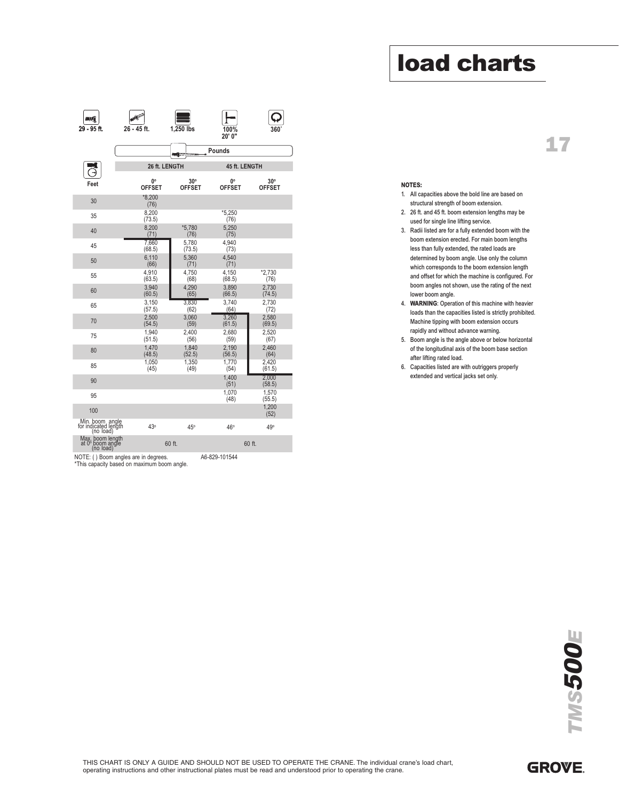# 17

| mű.<br>29 - 95 ft.                                   | 26 - 45 ft.                                                                         | 1,250 lbs                   | 100%<br>20' 0"                         |                               |
|------------------------------------------------------|-------------------------------------------------------------------------------------|-----------------------------|----------------------------------------|-------------------------------|
|                                                      |                                                                                     | <b>INGLOATE</b>             | Pounds                                 |                               |
|                                                      | 26 ft. LENGTH                                                                       |                             | 45 ft. LENGTH                          |                               |
| Feet                                                 | O۰<br><b>OFFSET</b>                                                                 | $30^\circ$<br><b>OFFSET</b> | <b>O</b> <sub>o</sub><br><b>OFFSET</b> | $30^{\circ}$<br><b>OFFSET</b> |
| 30                                                   | $*8.200$<br>(76)                                                                    |                             |                                        |                               |
| 35                                                   | 8,200<br>(73.5)                                                                     |                             | *5,250<br>(76)                         |                               |
| 40                                                   | 8.200<br>(71)                                                                       | $*5,780$<br>(76)            | 5.250<br>(75)                          |                               |
| 45                                                   | 7,660<br>(68.5)                                                                     | 5,780<br>(73.5)             | 4.940<br>(73)                          |                               |
| 50                                                   | 6,110<br>(66)                                                                       | 5,360<br>(71)               | 4,540<br>(71)                          |                               |
| 55                                                   | 4.910<br>(63.5)                                                                     | 4.750<br>(68)               | 4.150<br>(68.5)                        | $*2,730$<br>(76)              |
| 60                                                   | 3,940<br>(60.5)                                                                     | 4,290<br>(65)               | 3,890<br>(66.5)                        | 2.730<br>(74.5)               |
| 65                                                   | 3,150<br>(57.5)                                                                     | 3.830<br>(62)               | 3,740<br>(64)                          | 2.730<br>(72)                 |
| 70                                                   | 2,500<br>(54.5)                                                                     | 3.060<br>(59)               | 3,260<br>(61.5)                        | 2,580<br>(69.5)               |
| 75                                                   | 1.940<br>(51.5)                                                                     | 2.400<br>(56)               | 2.680<br>(59)                          | 2.520<br>(67)                 |
| 80                                                   | 1,470<br>(48.5)                                                                     | 1,840<br>(52.5)             | 2,190<br>(56.5)                        | 2,460<br>(64)                 |
| 85                                                   | 1.050<br>(45)                                                                       | 1.350<br>(49)               | 1.770<br>(54)                          | 2.420<br>(61.5)               |
| 90                                                   |                                                                                     |                             | 1.400<br>(51)                          | 2.000<br>(58.5)               |
| 95                                                   |                                                                                     |                             | 1,070<br>(48)                          | 1,570<br>(55.5)               |
| 100                                                  |                                                                                     |                             |                                        | 1.200<br>(52)                 |
| Min. boom angle<br>for indicated length<br>(no load) | 43°                                                                                 | 45°                         | 46°                                    | 49°                           |
| Max. boom length<br>at 0° boom angle<br>(no load)    |                                                                                     | 60 ft.                      |                                        | 60 ft.                        |
|                                                      | NOTE: () Boom angles are in degrees.<br>*This capacity based on maximum boom angle. |                             | A6-829-101544                          |                               |

#### NOTES:

- 1. All capacities above the bold line are based on structural strength of boom extension.
- 2. 26 ft. and 45 ft. boom extension lengths may be used for single line lifting service.
- 3. Radii listed are for a fully extended boom with the boom extension erected. For main boom lengths less than fully extended, the rated loads are determined by boom angle. Use only the column which corresponds to the boom extension length and offset for which the machine is configured. For boom angles not shown, use the rating of the next lower boom angle.
- 4. WARNING: Operation of this machine with heavier loads than the capacities listed is strictly prohibited. Machine tipping with boom extension occurs rapidly and without advance warning.
- 5. Boom angle is the angle above or below horizontal of the longitudinal axis of the boom base section after lifting rated load.
- 6. Capacities listed are with outriggers properly extended and vertical jacks set only.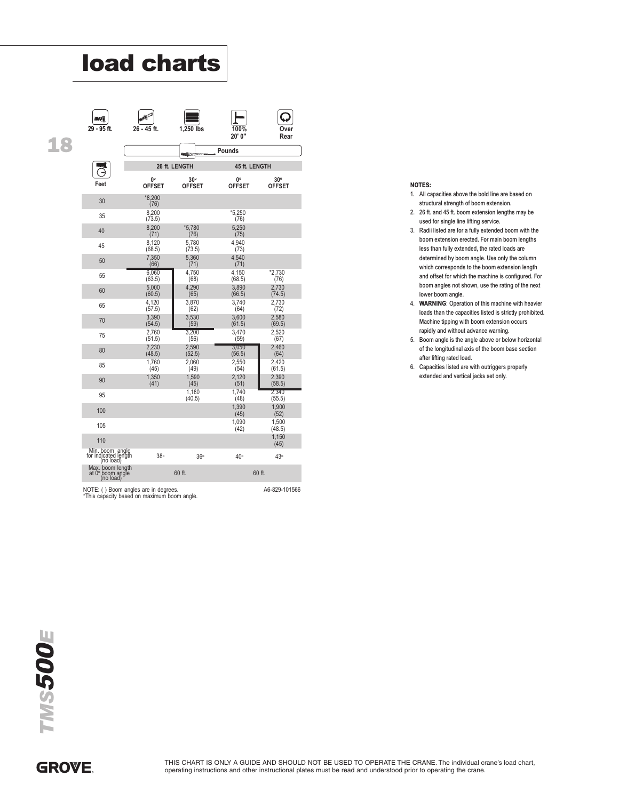| TV.<br>29 - 95 ft.                                       | 26 - 45 ft.                                                                         | 1,250 lbs                     | 100%<br>20' 0"      | ่ ∩ver<br>Rear              |
|----------------------------------------------------------|-------------------------------------------------------------------------------------|-------------------------------|---------------------|-----------------------------|
|                                                          |                                                                                     | <b>MOVIE</b>                  | Pounds              |                             |
|                                                          |                                                                                     | 26 ft. LENGTH                 | 45 ft. LENGTH       |                             |
| Feet                                                     | 0°<br><b>OFFSET</b>                                                                 | $30^{\circ}$<br><b>OFFSET</b> | 0°<br><b>OFFSET</b> | $30^\circ$<br><b>OFFSET</b> |
| 30                                                       | $*8,200$<br>(76)                                                                    |                               |                     |                             |
| 35                                                       | 8.200<br>(73.5)                                                                     |                               | $*5.250$<br>(76)    |                             |
| 40                                                       | 8,200<br>(71)                                                                       | *5,780<br>(76)                | 5,250<br>(75)       |                             |
| 45                                                       | 8,120<br>(68.5)                                                                     | 5,780<br>(73.5)               | 4,940<br>(73)       |                             |
| 50                                                       | 7,350<br>(66)                                                                       | 5,360<br>(71)                 | 4,540<br>(71)       |                             |
| 55                                                       | 6,060<br>(63.5)                                                                     | 4,750<br>(68)                 | 4,150<br>(68.5)     | *2,730<br>(76)              |
| 60                                                       | 5,000<br>(60.5)                                                                     | 4,290<br>(65)                 | 3,890<br>(66.5)     | 2,730<br>(74.5)             |
| 65                                                       | 4,120<br>(57.5)                                                                     | 3,870<br>(62)                 | 3,740<br>(64)       | 2,730<br>(72)               |
| 70                                                       | 3,390<br>(54.5)                                                                     | 3,530<br>(59)                 | 3,600<br>(61.5)     | 2,580<br>(69.5)             |
| 75                                                       | 2.760<br>(51.5)                                                                     | 3.200<br>(56)                 | 3,470<br>(59)       | 2,520<br>(67)               |
| 80                                                       | 2,230<br>(48.5)                                                                     | 2,590<br>(52.5)               | 3,050<br>(56.5)     | 2,460<br>(64)               |
| 85                                                       | 1,760<br>(45)                                                                       | 2,060<br>(49)                 | 2,550<br>(54)       | 2,420<br>(61.5)             |
| 90                                                       | 1,350<br>(41)                                                                       | 1,590<br>(45)                 | 2,120<br>(51)       | 2,390<br>(58.5)             |
| 95                                                       |                                                                                     | 1,180<br>(40.5)               | 1,740<br>(48)       | 2,340<br>(55.5)             |
| 100                                                      |                                                                                     |                               | 1,390<br>(45)       | 1,900<br>(52)               |
| 105                                                      |                                                                                     |                               | 1,090<br>(42)       | 1,500<br>(48.5)             |
| 110                                                      |                                                                                     |                               |                     | 1,150<br>(45)               |
| Min. boom, angle<br>for indicated length<br>(no load)    | 38 <sup>°</sup>                                                                     | 36°                           | 40°                 | 43°                         |
| Max. boom length<br>at $0^\circ$ boom angle<br>(no load) |                                                                                     | 60 ft.                        | 60 ft.              |                             |
|                                                          | NOTE: () Boom angles are in degrees.<br>*This capacity based on maximum boom angle. |                               |                     | A6-829-101566               |

#### NOTES:

- 1. All capacities above the bold line are based on structural strength of boom extension.
- 2. 26 ft. and 45 ft. boom extension lengths may be used for single line lifting service.
- 3. Radii listed are for a fully extended boom with the boom extension erected. For main boom lengths less than fully extended, the rated loads are determined by boom angle. Use only the column which corresponds to the boom extension length and offset for which the machine is configured. For boom angles not shown, use the rating of the next lower boom angle.
- 4. WARNING: Operation of this machine with heavier loads than the capacities listed is strictly prohibited. Machine tipping with boom extension occurs rapidly and without advance warning.
- 5. Boom angle is the angle above or below horizontal of the longitudinal axis of the boom base section after lifting rated load.
- 6. Capacities listed are with outriggers properly extended and vertical jacks set only.

18

## **GROVE**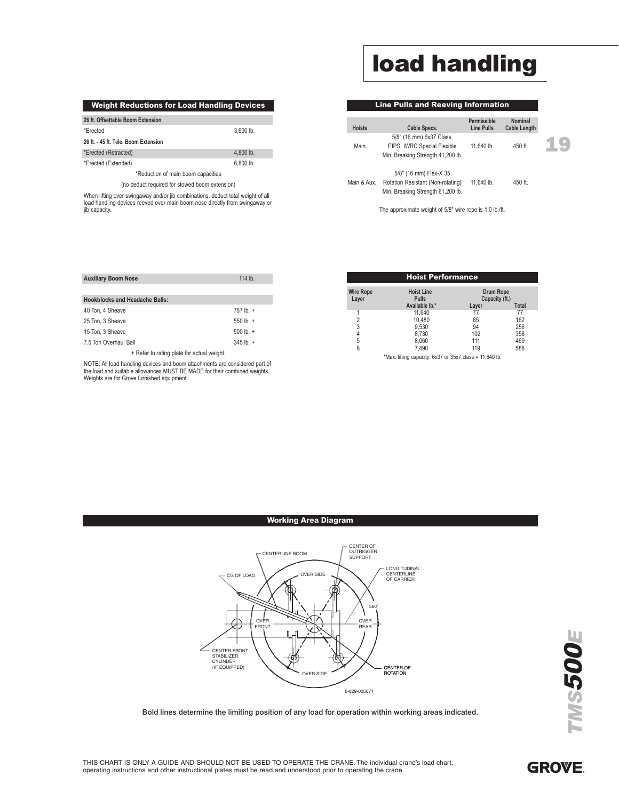# load handling

Line Pulls and Reeving Information

| <b>Weight Reductions for Load Handling Devices</b> |             |  |  |  |  |
|----------------------------------------------------|-------------|--|--|--|--|
| 26 ft. Offsettable Boom Extension                  |             |  |  |  |  |
| *Erected                                           | $3.600$ lb. |  |  |  |  |
| 26 ft. - 45 ft. Tele. Boom Extension               |             |  |  |  |  |
| *Erected (Retracted)                               | $4.800$ lb. |  |  |  |  |
| *Erected (Extended)                                | $6.800$ lb. |  |  |  |  |
| *Reduction of main boom capacities                 |             |  |  |  |  |
| (no deduct required for stowed boom extension)     |             |  |  |  |  |

When lifting over swingaway and/or jib combinations, deduct total weight of all load handling devices reeved over main boom nose directly from swingaway or jib capacity.

| <b>Hoists</b> | Cable Specs.                                                                                     | т спіновірів<br>Line Pulls | <b>Cable Length</b> |  |
|---------------|--------------------------------------------------------------------------------------------------|----------------------------|---------------------|--|
| Main          | 5/8" (16 mm) 6x37 Class,<br>EIPS, IWRC Special Flexible<br>Min. Breaking Strength 41,200 lb.     | 11.640 lb.                 | 450 ft.             |  |
| Main & Aux.   | 5/8" (16 mm) Flex-X 35<br>Rotation Resistant (Non-rotating)<br>Min. Breaking Strength 61,200 lb. | 11.640 lb.                 | 450 ft.             |  |
|               | The approximate weight of 5/8" wire rope is 1.0 lb./ft.                                          |                            |                     |  |

**Permissible Nominal**

| <b>Auxiliary Boom Nose</b>                 | 114 $lb.$        |  |  |  |
|--------------------------------------------|------------------|--|--|--|
|                                            |                  |  |  |  |
| <b>Hookblocks and Headache Balls:</b>      |                  |  |  |  |
| 40 Ton, 4 Sheave                           | $757$ lb. $+$    |  |  |  |
| 25 Ton, 3 Sheave                           | 550 lb. $+$      |  |  |  |
| 15 Ton, 3 Sheave                           | $500 \,$ lb. $+$ |  |  |  |
| 7.5 Ton Overhaul Ball                      | $345$ lb. $+$    |  |  |  |
| + Refer to rating plate for actual weight. |                  |  |  |  |

NOTE: All load handling devices and boom attachments are considered part of the load and suitable allowances MUST BE MADE for their combined weights. Weights are for Grove furnished equipment.

| <b>Hoist Performance</b>                                                                                                                 |        |     |     |  |  |
|------------------------------------------------------------------------------------------------------------------------------------------|--------|-----|-----|--|--|
| <b>Wire Rope</b><br><b>Hoist Line</b><br>Drum Rope<br>Capacity (ft.)<br><b>Pulls</b><br>Layer<br>Available lb.*<br><b>Total</b><br>Layer |        |     |     |  |  |
|                                                                                                                                          | 11.640 | 77  | 77  |  |  |
| 2                                                                                                                                        | 10.480 | 85  | 162 |  |  |
| 3                                                                                                                                        | 9,530  | 94  | 256 |  |  |
| 4                                                                                                                                        | 8.730  | 102 | 358 |  |  |
| 5                                                                                                                                        | 8.060  | 111 | 469 |  |  |
| 6                                                                                                                                        | 7.490  | 119 | 588 |  |  |
| *Max. lifting capacity: 6x37 or 35x7 class = 11,640 lb.                                                                                  |        |     |     |  |  |

#### Working Area Diagram



Bold lines determine the limiting position of any load for operation within working areas indicated.